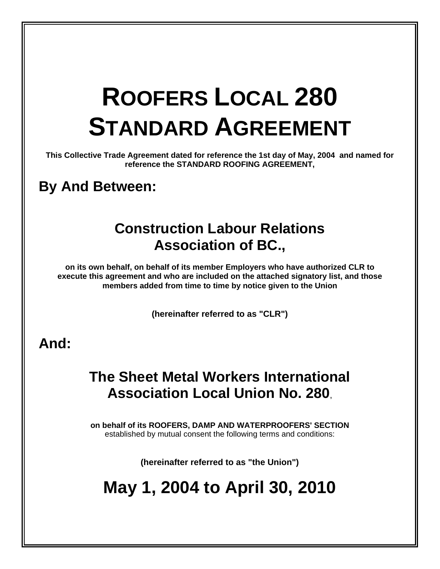# **ROOFERS LOCAL 280 STANDARD AGREEMENT**

**This Collective Trade Agreement dated for reference the 1st day of May, 2004 and named for reference the STANDARD ROOFING AGREEMENT,** 

# **By And Between:**

# **Construction Labour Relations Association of BC.,**

**on its own behalf, on behalf of its member Employers who have authorized CLR to execute this agreement and who are included on the attached signatory list, and those members added from time to time by notice given to the Union** 

**(hereinafter referred to as "CLR")**

# **And:**

# **The Sheet Metal Workers International Association Local Union No. 280**,

**on behalf of its ROOFERS, DAMP AND WATERPROOFERS' SECTION**  established by mutual consent the following terms and conditions:

**(hereinafter referred to as "the Union")**

# **May 1, 2004 to April 30, 2010**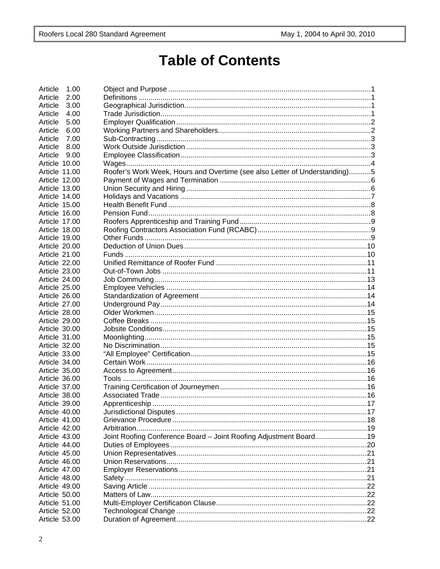# **Table of Contents**

| 1.00<br>Article |                                                                            |  |
|-----------------|----------------------------------------------------------------------------|--|
| Article<br>2.00 |                                                                            |  |
| Article<br>3.00 |                                                                            |  |
| Article<br>4.00 |                                                                            |  |
| Article<br>5.00 |                                                                            |  |
| Article<br>6.00 |                                                                            |  |
| Article<br>7.00 |                                                                            |  |
| Article<br>8.00 |                                                                            |  |
| Article<br>9.00 |                                                                            |  |
| Article 10.00   |                                                                            |  |
| Article 11.00   | Roofer's Work Week, Hours and Overtime (see also Letter of Understanding)5 |  |
| Article 12.00   |                                                                            |  |
| Article 13.00   |                                                                            |  |
|                 |                                                                            |  |
| Article 14.00   |                                                                            |  |
| Article 15.00   |                                                                            |  |
| Article 16.00   |                                                                            |  |
| Article 17.00   |                                                                            |  |
| Article 18.00   |                                                                            |  |
| Article 19.00   |                                                                            |  |
| Article 20.00   |                                                                            |  |
| Article 21.00   |                                                                            |  |
| Article 22.00   |                                                                            |  |
| Article 23.00   |                                                                            |  |
| Article 24.00   |                                                                            |  |
| Article 25.00   |                                                                            |  |
| Article 26.00   |                                                                            |  |
| Article 27.00   |                                                                            |  |
| Article 28.00   |                                                                            |  |
| Article 29.00   |                                                                            |  |
| Article 30.00   |                                                                            |  |
| Article 31.00   |                                                                            |  |
| Article 32.00   |                                                                            |  |
| Article 33.00   |                                                                            |  |
| Article 34.00   |                                                                            |  |
| Article 35.00   |                                                                            |  |
| Article 36.00   |                                                                            |  |
| Article 37.00   |                                                                            |  |
| Article 38.00   |                                                                            |  |
| Article 39.00   |                                                                            |  |
| Article 40.00   |                                                                            |  |
| Article 41.00   |                                                                            |  |
| Article 42.00   |                                                                            |  |
| Article 43.00   | Joint Roofing Conference Board - Joint Roofing Adjustment Board19          |  |
| Article 44.00   |                                                                            |  |
| Article 45.00   |                                                                            |  |
|                 |                                                                            |  |
| Article 46.00   |                                                                            |  |
| Article 47.00   |                                                                            |  |
| Article 48.00   |                                                                            |  |
| Article 49.00   |                                                                            |  |
| Article 50.00   |                                                                            |  |
| Article 51.00   |                                                                            |  |
| Article 52.00   |                                                                            |  |
| Article 53.00   |                                                                            |  |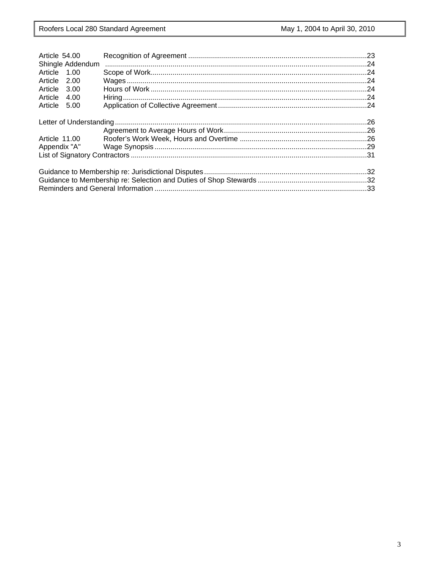| Article 54.00    |  |  |  |
|------------------|--|--|--|
| Shingle Addendum |  |  |  |
| Article 1.00     |  |  |  |
| Article 2.00     |  |  |  |
| Article 3.00     |  |  |  |
| Article 4.00     |  |  |  |
| Article 5.00     |  |  |  |
|                  |  |  |  |
|                  |  |  |  |
|                  |  |  |  |
| Article 11.00    |  |  |  |
|                  |  |  |  |
|                  |  |  |  |
|                  |  |  |  |
|                  |  |  |  |
|                  |  |  |  |
|                  |  |  |  |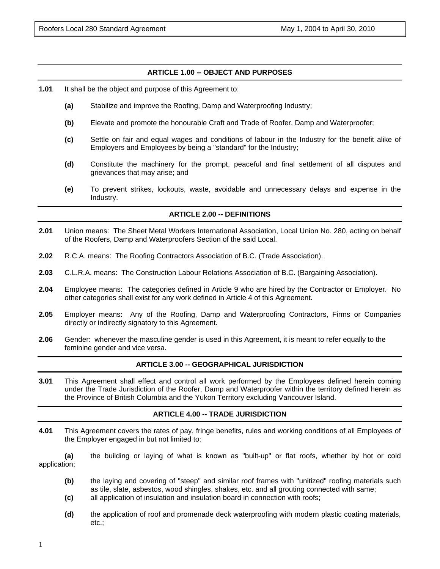# **ARTICLE 1.00 -- OBJECT AND PURPOSES**

- **1.01** It shall be the object and purpose of this Agreement to:
	- **(a)** Stabilize and improve the Roofing, Damp and Waterproofing Industry;
	- **(b)** Elevate and promote the honourable Craft and Trade of Roofer, Damp and Waterproofer;
	- **(c)** Settle on fair and equal wages and conditions of labour in the Industry for the benefit alike of Employers and Employees by being a "standard" for the Industry;
	- **(d)** Constitute the machinery for the prompt, peaceful and final settlement of all disputes and grievances that may arise; and
	- **(e)** To prevent strikes, lockouts, waste, avoidable and unnecessary delays and expense in the Industry.

# **ARTICLE 2.00 -- DEFINITIONS**

- **2.01** Union means: The Sheet Metal Workers International Association, Local Union No. 280, acting on behalf of the Roofers, Damp and Waterproofers Section of the said Local.
- **2.02** R.C.A. means: The Roofing Contractors Association of B.C. (Trade Association).
- **2.03** C.L.R.A. means: The Construction Labour Relations Association of B.C. (Bargaining Association).
- **2.04** Employee means: The categories defined in Article 9 who are hired by the Contractor or Employer. No other categories shall exist for any work defined in Article 4 of this Agreement.
- **2.05** Employer means: Any of the Roofing, Damp and Waterproofing Contractors, Firms or Companies directly or indirectly signatory to this Agreement.
- **2.06** Gender: whenever the masculine gender is used in this Agreement, it is meant to refer equally to the feminine gender and vice versa.

#### **ARTICLE 3.00 -- GEOGRAPHICAL JURISDICTION**

**3.01** This Agreement shall effect and control all work performed by the Employees defined herein coming under the Trade Jurisdiction of the Roofer, Damp and Waterproofer within the territory defined herein as the Province of British Columbia and the Yukon Territory excluding Vancouver Island.

# **ARTICLE 4.00 -- TRADE JURISDICTION**

**4.01** This Agreement covers the rates of pay, fringe benefits, rules and working conditions of all Employees of the Employer engaged in but not limited to:

**(a)** the building or laying of what is known as "built-up" or flat roofs, whether by hot or cold application;

- **(b)** the laying and covering of "steep" and similar roof frames with "unitized" roofing materials such as tile, slate, asbestos, wood shingles, shakes, etc. and all grouting connected with same;
- **(c)** all application of insulation and insulation board in connection with roofs;
- **(d)** the application of roof and promenade deck waterproofing with modern plastic coating materials, etc.;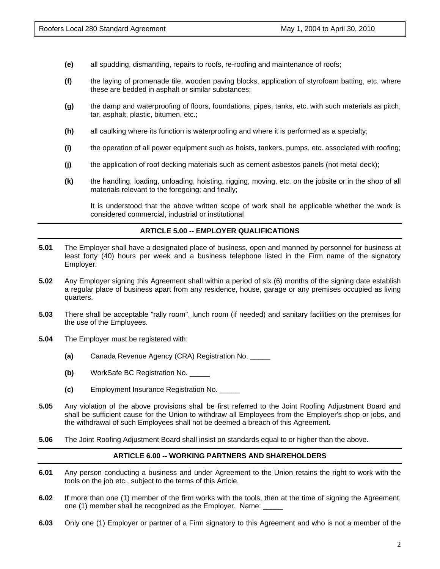- **(e)** all spudding, dismantling, repairs to roofs, re-roofing and maintenance of roofs;
- **(f)** the laying of promenade tile, wooden paving blocks, application of styrofoam batting, etc. where these are bedded in asphalt or similar substances;
- **(g)** the damp and waterproofing of floors, foundations, pipes, tanks, etc. with such materials as pitch, tar, asphalt, plastic, bitumen, etc.;
- **(h)** all caulking where its function is waterproofing and where it is performed as a specialty;
- **(i)** the operation of all power equipment such as hoists, tankers, pumps, etc. associated with roofing;
- **(j)** the application of roof decking materials such as cement asbestos panels (not metal deck);
- **(k)** the handling, loading, unloading, hoisting, rigging, moving, etc. on the jobsite or in the shop of all materials relevant to the foregoing; and finally;

It is understood that the above written scope of work shall be applicable whether the work is considered commercial, industrial or institutional

# **ARTICLE 5.00 -- EMPLOYER QUALIFICATIONS**

- **5.01** The Employer shall have a designated place of business, open and manned by personnel for business at least forty (40) hours per week and a business telephone listed in the Firm name of the signatory Employer.
- **5.02** Any Employer signing this Agreement shall within a period of six (6) months of the signing date establish a regular place of business apart from any residence, house, garage or any premises occupied as living quarters.
- **5.03** There shall be acceptable "rally room", lunch room (if needed) and sanitary facilities on the premises for the use of the Employees.
- **5.04** The Employer must be registered with:
	- **(a)** Canada Revenue Agency (CRA) Registration No. \_\_\_\_\_
	- **(b)** WorkSafe BC Registration No. \_\_\_\_\_
	- **(c)** Employment Insurance Registration No. \_\_\_\_\_
- **5.05** Any violation of the above provisions shall be first referred to the Joint Roofing Adjustment Board and shall be sufficient cause for the Union to withdraw all Employees from the Employer's shop or jobs, and the withdrawal of such Employees shall not be deemed a breach of this Agreement.
- **5.06** The Joint Roofing Adjustment Board shall insist on standards equal to or higher than the above.

# **ARTICLE 6.00 -- WORKING PARTNERS AND SHAREHOLDERS**

- **6.01** Any person conducting a business and under Agreement to the Union retains the right to work with the tools on the job etc., subject to the terms of this Article.
- **6.02** If more than one (1) member of the firm works with the tools, then at the time of signing the Agreement, one (1) member shall be recognized as the Employer. Name:
- **6.03** Only one (1) Employer or partner of a Firm signatory to this Agreement and who is not a member of the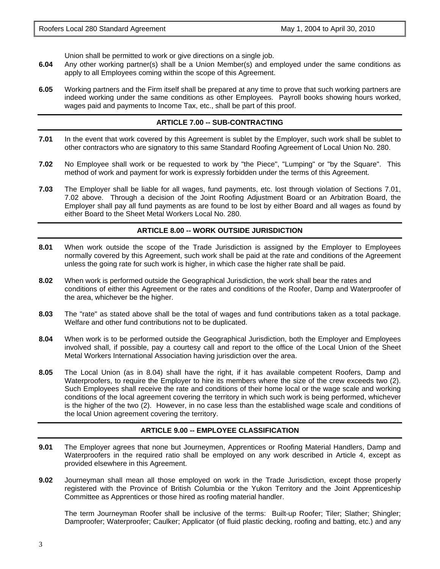Union shall be permitted to work or give directions on a single job.

- **6.04** Any other working partner(s) shall be a Union Member(s) and employed under the same conditions as apply to all Employees coming within the scope of this Agreement.
- **6.05** Working partners and the Firm itself shall be prepared at any time to prove that such working partners are indeed working under the same conditions as other Employees. Payroll books showing hours worked, wages paid and payments to Income Tax, etc., shall be part of this proof.

# **ARTICLE 7.00 -- SUB-CONTRACTING**

- **7.01** In the event that work covered by this Agreement is sublet by the Employer, such work shall be sublet to other contractors who are signatory to this same Standard Roofing Agreement of Local Union No. 280.
- **7.02** No Employee shall work or be requested to work by "the Piece", "Lumping" or "by the Square". This method of work and payment for work is expressly forbidden under the terms of this Agreement.
- **7.03** The Employer shall be liable for all wages, fund payments, etc. lost through violation of Sections 7.01, 7.02 above. Through a decision of the Joint Roofing Adjustment Board or an Arbitration Board, the Employer shall pay all fund payments as are found to be lost by either Board and all wages as found by either Board to the Sheet Metal Workers Local No. 280.

#### **ARTICLE 8.00 -- WORK OUTSIDE JURISDICTION**

- **8.01** When work outside the scope of the Trade Jurisdiction is assigned by the Employer to Employees normally covered by this Agreement, such work shall be paid at the rate and conditions of the Agreement unless the going rate for such work is higher, in which case the higher rate shall be paid.
- **8.02** When work is performed outside the Geographical Jurisdiction, the work shall bear the rates and conditions of either this Agreement or the rates and conditions of the Roofer, Damp and Waterproofer of the area, whichever be the higher.
- **8.03** The "rate" as stated above shall be the total of wages and fund contributions taken as a total package. Welfare and other fund contributions not to be duplicated.
- **8.04** When work is to be performed outside the Geographical Jurisdiction, both the Employer and Employees involved shall, if possible, pay a courtesy call and report to the office of the Local Union of the Sheet Metal Workers International Association having jurisdiction over the area.
- **8.05** The Local Union (as in 8.04) shall have the right, if it has available competent Roofers, Damp and Waterproofers, to require the Employer to hire its members where the size of the crew exceeds two (2). Such Employees shall receive the rate and conditions of their home local or the wage scale and working conditions of the local agreement covering the territory in which such work is being performed, whichever is the higher of the two (2). However, in no case less than the established wage scale and conditions of the local Union agreement covering the territory.

#### **ARTICLE 9.00 -- EMPLOYEE CLASSIFICATION**

- **9.01** The Employer agrees that none but Journeymen, Apprentices or Roofing Material Handlers, Damp and Waterproofers in the required ratio shall be employed on any work described in Article 4, except as provided elsewhere in this Agreement.
- **9.02** Journeyman shall mean all those employed on work in the Trade Jurisdiction, except those properly registered with the Province of British Columbia or the Yukon Territory and the Joint Apprenticeship Committee as Apprentices or those hired as roofing material handler.

The term Journeyman Roofer shall be inclusive of the terms: Built-up Roofer; Tiler; Slather; Shingler; Damproofer; Waterproofer; Caulker; Applicator (of fluid plastic decking, roofing and batting, etc.) and any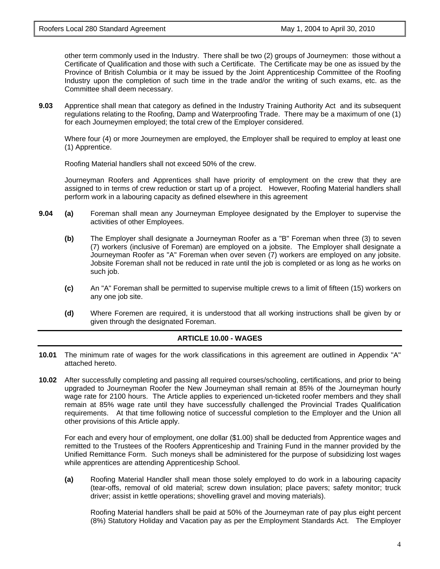other term commonly used in the Industry. There shall be two (2) groups of Journeymen: those without a Certificate of Qualification and those with such a Certificate. The Certificate may be one as issued by the Province of British Columbia or it may be issued by the Joint Apprenticeship Committee of the Roofing Industry upon the completion of such time in the trade and/or the writing of such exams, etc. as the Committee shall deem necessary.

**9.03** Apprentice shall mean that category as defined in the Industry Training Authority Act and its subsequent regulations relating to the Roofing, Damp and Waterproofing Trade. There may be a maximum of one (1) for each Journeymen employed; the total crew of the Employer considered.

Where four (4) or more Journeymen are employed, the Employer shall be required to employ at least one (1) Apprentice.

Roofing Material handlers shall not exceed 50% of the crew.

Journeyman Roofers and Apprentices shall have priority of employment on the crew that they are assigned to in terms of crew reduction or start up of a project. However, Roofing Material handlers shall perform work in a labouring capacity as defined elsewhere in this agreement

- **9.04 (a)** Foreman shall mean any Journeyman Employee designated by the Employer to supervise the activities of other Employees.
	- **(b)** The Employer shall designate a Journeyman Roofer as a "B" Foreman when three (3) to seven (7) workers (inclusive of Foreman) are employed on a jobsite. The Employer shall designate a Journeyman Roofer as "A" Foreman when over seven (7) workers are employed on any jobsite. Jobsite Foreman shall not be reduced in rate until the job is completed or as long as he works on such job.
	- **(c)** An "A" Foreman shall be permitted to supervise multiple crews to a limit of fifteen (15) workers on any one job site.
	- **(d)** Where Foremen are required, it is understood that all working instructions shall be given by or given through the designated Foreman.

#### **ARTICLE 10.00 - WAGES**

- **10.01** The minimum rate of wages for the work classifications in this agreement are outlined in Appendix "A" attached hereto.
- **10.02** After successfully completing and passing all required courses/schooling, certifications, and prior to being upgraded to Journeyman Roofer the New Journeyman shall remain at 85% of the Journeyman hourly wage rate for 2100 hours. The Article applies to experienced un-ticketed roofer members and they shall remain at 85% wage rate until they have successfully challenged the Provincial Trades Qualification requirements. At that time following notice of successful completion to the Employer and the Union all other provisions of this Article apply.

For each and every hour of employment, one dollar (\$1.00) shall be deducted from Apprentice wages and remitted to the Trustees of the Roofers Apprenticeship and Training Fund in the manner provided by the Unified Remittance Form. Such moneys shall be administered for the purpose of subsidizing lost wages while apprentices are attending Apprenticeship School.

**(a)** Roofing Material Handler shall mean those solely employed to do work in a labouring capacity (tear-offs, removal of old material; screw down insulation; place pavers; safety monitor; truck driver; assist in kettle operations; shovelling gravel and moving materials).

Roofing Material handlers shall be paid at 50% of the Journeyman rate of pay plus eight percent (8%) Statutory Holiday and Vacation pay as per the Employment Standards Act. The Employer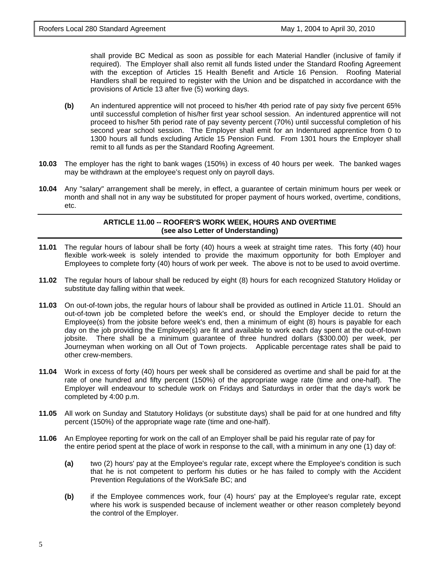shall provide BC Medical as soon as possible for each Material Handler (inclusive of family if required). The Employer shall also remit all funds listed under the Standard Roofing Agreement with the exception of Articles 15 Health Benefit and Article 16 Pension. Roofing Material Handlers shall be required to register with the Union and be dispatched in accordance with the provisions of Article 13 after five (5) working days.

- **(b)** An indentured apprentice will not proceed to his/her 4th period rate of pay sixty five percent 65% until successful completion of his/her first year school session. An indentured apprentice will not proceed to his/her 5th period rate of pay seventy percent (70%) until successful completion of his second year school session. The Employer shall emit for an Indentured apprentice from 0 to 1300 hours all funds excluding Article 15 Pension Fund. From 1301 hours the Employer shall remit to all funds as per the Standard Roofing Agreement.
- **10.03** The employer has the right to bank wages (150%) in excess of 40 hours per week. The banked wages may be withdrawn at the employee's request only on payroll days.
- **10.04** Any "salary" arrangement shall be merely, in effect, a guarantee of certain minimum hours per week or month and shall not in any way be substituted for proper payment of hours worked, overtime, conditions, etc.

# **ARTICLE 11.00 -- ROOFER'S WORK WEEK, HOURS AND OVERTIME (see also Letter of Understanding)**

- **11.01** The regular hours of labour shall be forty (40) hours a week at straight time rates. This forty (40) hour flexible work-week is solely intended to provide the maximum opportunity for both Employer and Employees to complete forty (40) hours of work per week. The above is not to be used to avoid overtime.
- **11.02** The regular hours of labour shall be reduced by eight (8) hours for each recognized Statutory Holiday or substitute day falling within that week.
- **11.03** On out-of-town jobs, the regular hours of labour shall be provided as outlined in Article 11.01. Should an out-of-town job be completed before the week's end, or should the Employer decide to return the Employee(s) from the jobsite before week's end, then a minimum of eight (8) hours is payable for each day on the job providing the Employee(s) are fit and available to work each day spent at the out-of-town jobsite. There shall be a minimum guarantee of three hundred dollars (\$300.00) per week, per Journeyman when working on all Out of Town projects. Applicable percentage rates shall be paid to other crew-members.
- **11.04** Work in excess of forty (40) hours per week shall be considered as overtime and shall be paid for at the rate of one hundred and fifty percent (150%) of the appropriate wage rate (time and one-half). The Employer will endeavour to schedule work on Fridays and Saturdays in order that the day's work be completed by 4:00 p.m.
- **11.05** All work on Sunday and Statutory Holidays (or substitute days) shall be paid for at one hundred and fifty percent (150%) of the appropriate wage rate (time and one-half).
- **11.06** An Employee reporting for work on the call of an Employer shall be paid his regular rate of pay for the entire period spent at the place of work in response to the call, with a minimum in any one (1) day of:
	- **(a)** two (2) hours' pay at the Employee's regular rate, except where the Employee's condition is such that he is not competent to perform his duties or he has failed to comply with the Accident Prevention Regulations of the WorkSafe BC; and
	- **(b)** if the Employee commences work, four (4) hours' pay at the Employee's regular rate, except where his work is suspended because of inclement weather or other reason completely beyond the control of the Employer.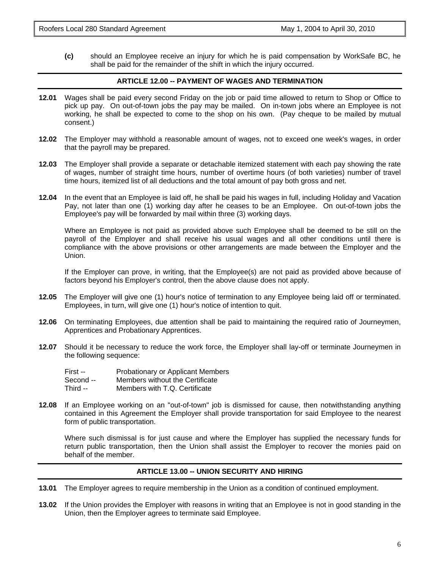**(c)** should an Employee receive an injury for which he is paid compensation by WorkSafe BC, he shall be paid for the remainder of the shift in which the injury occurred.

# **ARTICLE 12.00 -- PAYMENT OF WAGES AND TERMINATION**

- **12.01** Wages shall be paid every second Friday on the job or paid time allowed to return to Shop or Office to pick up pay. On out-of-town jobs the pay may be mailed. On in-town jobs where an Employee is not working, he shall be expected to come to the shop on his own. (Pay cheque to be mailed by mutual consent.)
- **12.02** The Employer may withhold a reasonable amount of wages, not to exceed one week's wages, in order that the payroll may be prepared.
- **12.03** The Employer shall provide a separate or detachable itemized statement with each pay showing the rate of wages, number of straight time hours, number of overtime hours (of both varieties) number of travel time hours, itemized list of all deductions and the total amount of pay both gross and net.
- **12.04** In the event that an Employee is laid off, he shall be paid his wages in full, including Holiday and Vacation Pay, not later than one (1) working day after he ceases to be an Employee. On out-of-town jobs the Employee's pay will be forwarded by mail within three (3) working days.

Where an Employee is not paid as provided above such Employee shall be deemed to be still on the payroll of the Employer and shall receive his usual wages and all other conditions until there is compliance with the above provisions or other arrangements are made between the Employer and the Union.

If the Employer can prove, in writing, that the Employee(s) are not paid as provided above because of factors beyond his Employer's control, then the above clause does not apply.

- **12.05** The Employer will give one (1) hour's notice of termination to any Employee being laid off or terminated. Employees, in turn, will give one (1) hour's notice of intention to quit.
- **12.06** On terminating Employees, due attention shall be paid to maintaining the required ratio of Journeymen, Apprentices and Probationary Apprentices.
- **12.07** Should it be necessary to reduce the work force, the Employer shall lay-off or terminate Journeymen in the following sequence:

| First --  | Probationary or Applicant Members |
|-----------|-----------------------------------|
| Second -- | Members without the Certificate   |
| Third --  | Members with T.Q. Certificate     |

**12.08** If an Employee working on an "out-of-town" job is dismissed for cause, then notwithstanding anything contained in this Agreement the Employer shall provide transportation for said Employee to the nearest form of public transportation.

Where such dismissal is for just cause and where the Employer has supplied the necessary funds for return public transportation, then the Union shall assist the Employer to recover the monies paid on behalf of the member.

# **ARTICLE 13.00 -- UNION SECURITY AND HIRING**

- **13.01** The Employer agrees to require membership in the Union as a condition of continued employment.
- **13.02** If the Union provides the Employer with reasons in writing that an Employee is not in good standing in the Union, then the Employer agrees to terminate said Employee.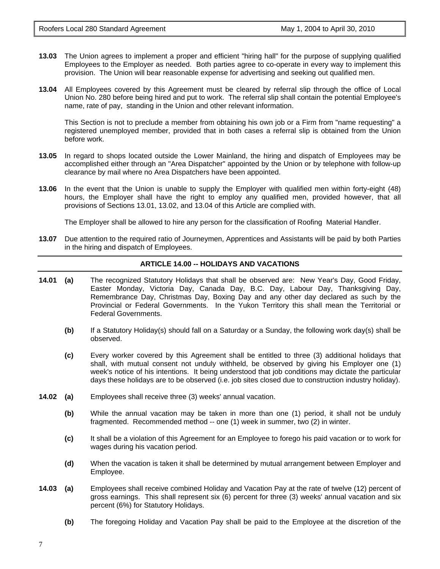- **13.03** The Union agrees to implement a proper and efficient "hiring hall" for the purpose of supplying qualified Employees to the Employer as needed. Both parties agree to co-operate in every way to implement this provision. The Union will bear reasonable expense for advertising and seeking out qualified men.
- **13.04** All Employees covered by this Agreement must be cleared by referral slip through the office of Local Union No. 280 before being hired and put to work. The referral slip shall contain the potential Employee's name, rate of pay, standing in the Union and other relevant information.

This Section is not to preclude a member from obtaining his own job or a Firm from "name requesting" a registered unemployed member, provided that in both cases a referral slip is obtained from the Union before work.

- **13.05** In regard to shops located outside the Lower Mainland, the hiring and dispatch of Employees may be accomplished either through an "Area Dispatcher" appointed by the Union or by telephone with follow-up clearance by mail where no Area Dispatchers have been appointed.
- **13.06** In the event that the Union is unable to supply the Employer with qualified men within forty-eight (48) hours, the Employer shall have the right to employ any qualified men, provided however, that all provisions of Sections 13.01, 13.02, and 13.04 of this Article are complied with.

The Employer shall be allowed to hire any person for the classification of Roofing Material Handler.

**13.07** Due attention to the required ratio of Journeymen, Apprentices and Assistants will be paid by both Parties in the hiring and dispatch of Employees.

#### **ARTICLE 14.00 -- HOLIDAYS AND VACATIONS**

- **14.01 (a)** The recognized Statutory Holidays that shall be observed are: New Year's Day, Good Friday, Easter Monday, Victoria Day, Canada Day, B.C. Day, Labour Day, Thanksgiving Day, Remembrance Day, Christmas Day, Boxing Day and any other day declared as such by the Provincial or Federal Governments. In the Yukon Territory this shall mean the Territorial or Federal Governments.
	- **(b)** If a Statutory Holiday(s) should fall on a Saturday or a Sunday, the following work day(s) shall be observed.
	- **(c)** Every worker covered by this Agreement shall be entitled to three (3) additional holidays that shall, with mutual consent not unduly withheld, be observed by giving his Employer one (1) week's notice of his intentions. It being understood that job conditions may dictate the particular days these holidays are to be observed (i.e. job sites closed due to construction industry holiday).
- **14.02 (a)** Employees shall receive three (3) weeks' annual vacation.
	- **(b)** While the annual vacation may be taken in more than one (1) period, it shall not be unduly fragmented. Recommended method -- one (1) week in summer, two (2) in winter.
	- **(c)** It shall be a violation of this Agreement for an Employee to forego his paid vacation or to work for wages during his vacation period.
	- **(d)** When the vacation is taken it shall be determined by mutual arrangement between Employer and Employee.
- **14.03 (a)** Employees shall receive combined Holiday and Vacation Pay at the rate of twelve (12) percent of gross earnings. This shall represent six (6) percent for three (3) weeks' annual vacation and six percent (6%) for Statutory Holidays.
	- **(b)** The foregoing Holiday and Vacation Pay shall be paid to the Employee at the discretion of the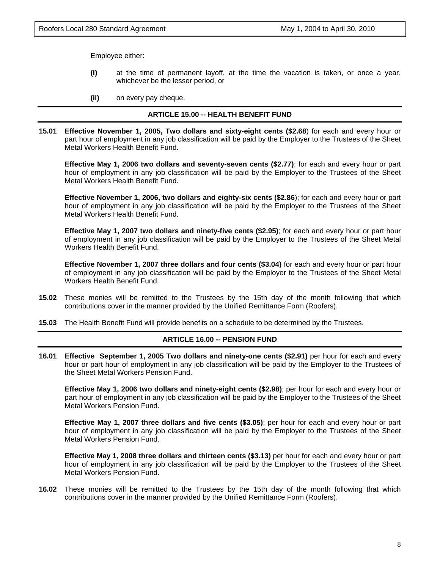Employee either:

- **(i)** at the time of permanent layoff, at the time the vacation is taken, or once a year, whichever be the lesser period, or
- **(ii)** on every pay cheque.

#### **ARTICLE 15.00 -- HEALTH BENEFIT FUND**

**15.01 Effective November 1, 2005, Two dollars and sixty-eight cents (\$2.68**) for each and every hour or part hour of employment in any job classification will be paid by the Employer to the Trustees of the Sheet Metal Workers Health Benefit Fund.

**Effective May 1, 2006 two dollars and seventy-seven cents (\$2.77)**; for each and every hour or part hour of employment in any job classification will be paid by the Employer to the Trustees of the Sheet Metal Workers Health Benefit Fund.

**Effective November 1, 2006, two dollars and eighty-six cents (\$2.86**); for each and every hour or part hour of employment in any job classification will be paid by the Employer to the Trustees of the Sheet Metal Workers Health Benefit Fund.

**Effective May 1, 2007 two dollars and ninety-five cents (\$2.95)**; for each and every hour or part hour of employment in any job classification will be paid by the Employer to the Trustees of the Sheet Metal Workers Health Benefit Fund.

**Effective November 1, 2007 three dollars and four cents (\$3.04)** for each and every hour or part hour of employment in any job classification will be paid by the Employer to the Trustees of the Sheet Metal Workers Health Benefit Fund.

- **15.02** These monies will be remitted to the Trustees by the 15th day of the month following that which contributions cover in the manner provided by the Unified Remittance Form (Roofers).
- **15.03** The Health Benefit Fund will provide benefits on a schedule to be determined by the Trustees.

#### **ARTICLE 16.00 -- PENSION FUND**

**16.01 Effective September 1, 2005 Two dollars and ninety-one cents (\$2.91)** per hour for each and every hour or part hour of employment in any job classification will be paid by the Employer to the Trustees of the Sheet Metal Workers Pension Fund.

**Effective May 1, 2006 two dollars and ninety-eight cents (\$2.98)**; per hour for each and every hour or part hour of employment in any job classification will be paid by the Employer to the Trustees of the Sheet Metal Workers Pension Fund.

**Effective May 1, 2007 three dollars and five cents (\$3.05)**; per hour for each and every hour or part hour of employment in any job classification will be paid by the Employer to the Trustees of the Sheet Metal Workers Pension Fund.

**Effective May 1, 2008 three dollars and thirteen cents (\$3.13)** per hour for each and every hour or part hour of employment in any job classification will be paid by the Employer to the Trustees of the Sheet Metal Workers Pension Fund.

**16.02** These monies will be remitted to the Trustees by the 15th day of the month following that which contributions cover in the manner provided by the Unified Remittance Form (Roofers).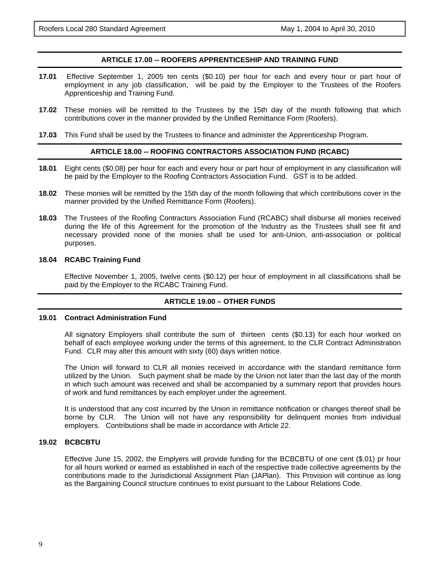# **ARTICLE 17.00 -- ROOFERS APPRENTICESHIP AND TRAINING FUND**

- **17.01** Effective September 1, 2005 ten cents (\$0.10) per hour for each and every hour or part hour of employment in any job classification, will be paid by the Employer to the Trustees of the Roofers Apprenticeship and Training Fund.
- **17.02** These monies will be remitted to the Trustees by the 15th day of the month following that which contributions cover in the manner provided by the Unified Remittance Form (Roofers).
- **17.03** This Fund shall be used by the Trustees to finance and administer the Apprenticeship Program.

#### **ARTICLE 18.00 -- ROOFING CONTRACTORS ASSOCIATION FUND (RCABC)**

- **18.01** Eight cents (\$0.08) per hour for each and every hour or part hour of employment in any classification will be paid by the Employer to the Roofing Contractors Association Fund. GST is to be added.
- **18.02** These monies will be remitted by the 15th day of the month following that which contributions cover in the manner provided by the Unified Remittance Form (Roofers).
- **18.03** The Trustees of the Roofing Contractors Association Fund (RCABC) shall disburse all monies received during the life of this Agreement for the promotion of the Industry as the Trustees shall see fit and necessary provided none of the monies shall be used for anti-Union, anti-association or political purposes.

#### **18.04 RCABC Training Fund**

Effective November 1, 2005, twelve cents (\$0.12) per hour of employment in all classifications shall be paid by the Employer to the RCABC Training Fund.

# **ARTICLE 19.00 – OTHER FUNDS**

#### **19.01 Contract Administration Fund**

All signatory Employers shall contribute the sum of thirteen cents (\$0.13) for each hour worked on behalf of each employee working under the terms of this agreement, to the CLR Contract Administration Fund. CLR may alter this amount with sixty (60) days written notice.

The Union will forward to CLR all monies received in accordance with the standard remittance form utilized by the Union. Such payment shall be made by the Union not later than the last day of the month in which such amount was received and shall be accompanied by a summary report that provides hours of work and fund remittances by each employer under the agreement.

It is understood that any cost incurred by the Union in remittance notification or changes thereof shall be borne by CLR. The Union will not have any responsibility for delinquent monies from individual employers. Contributions shall be made in accordance with Article 22.

# **19.02 BCBCBTU**

Effective June 15, 2002, the Emplyers will provide funding for the BCBCBTU of one cent (\$.01) pr hour for all hours worked or earned as established in each of the respective trade collective agreements by the contributions made to the Jurisdictional Assignment Plan (JAPlan). This Provision will continue as long as the Bargaining Council structure continues to exist pursuant to the Labour Relations Code.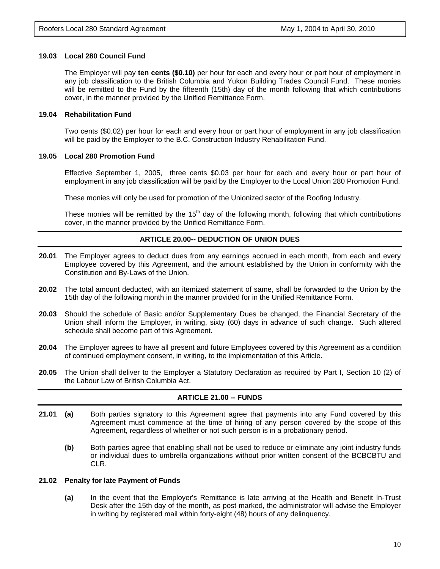#### **19.03 Local 280 Council Fund**

The Employer will pay **ten cents (\$0.10)** per hour for each and every hour or part hour of employment in any job classification to the British Columbia and Yukon Building Trades Council Fund. These monies will be remitted to the Fund by the fifteenth (15th) day of the month following that which contributions cover, in the manner provided by the Unified Remittance Form.

### **19.04 Rehabilitation Fund**

Two cents (\$0.02) per hour for each and every hour or part hour of employment in any job classification will be paid by the Employer to the B.C. Construction Industry Rehabilitation Fund.

#### **19.05 Local 280 Promotion Fund**

Effective September 1, 2005, three cents \$0.03 per hour for each and every hour or part hour of employment in any job classification will be paid by the Employer to the Local Union 280 Promotion Fund.

These monies will only be used for promotion of the Unionized sector of the Roofing Industry.

These monies will be remitted by the  $15<sup>th</sup>$  day of the following month, following that which contributions cover, in the manner provided by the Unified Remittance Form.

# **ARTICLE 20.00-- DEDUCTION OF UNION DUES**

- **20.01** The Employer agrees to deduct dues from any earnings accrued in each month, from each and every Employee covered by this Agreement, and the amount established by the Union in conformity with the Constitution and By-Laws of the Union.
- **20.02** The total amount deducted, with an itemized statement of same, shall be forwarded to the Union by the 15th day of the following month in the manner provided for in the Unified Remittance Form.
- **20.03** Should the schedule of Basic and/or Supplementary Dues be changed, the Financial Secretary of the Union shall inform the Employer, in writing, sixty (60) days in advance of such change. Such altered schedule shall become part of this Agreement.
- **20.04** The Employer agrees to have all present and future Employees covered by this Agreement as a condition of continued employment consent, in writing, to the implementation of this Article.
- **20.05** The Union shall deliver to the Employer a Statutory Declaration as required by Part I, Section 10 (2) of the Labour Law of British Columbia Act.

# **ARTICLE 21.00 -- FUNDS**

- 21.01 (a) Both parties signatory to this Agreement agree that payments into any Fund covered by this Agreement must commence at the time of hiring of any person covered by the scope of this Agreement, regardless of whether or not such person is in a probationary period.
	- **(b)** Both parties agree that enabling shall not be used to reduce or eliminate any joint industry funds or individual dues to umbrella organizations without prior written consent of the BCBCBTU and CLR.

#### **21.02 Penalty for late Payment of Funds**

**(a)** In the event that the Employer's Remittance is late arriving at the Health and Benefit In-Trust Desk after the 15th day of the month, as post marked, the administrator will advise the Employer in writing by registered mail within forty-eight (48) hours of any delinquency.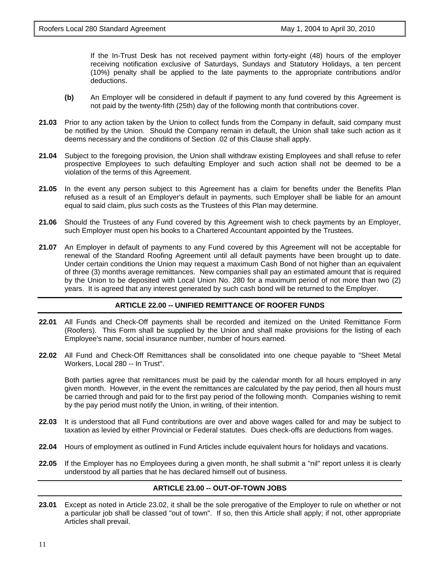If the In-Trust Desk has not received payment within forty-eight (48) hours of the employer receiving notification exclusive of Saturdays, Sundays and Statutory Holidays, a ten percent (10%) penalty shall be applied to the late payments to the appropriate contributions and/or deductions.

- **(b)** An Employer will be considered in default if payment to any fund covered by this Agreement is not paid by the twenty-fifth (25th) day of the following month that contributions cover.
- **21.03** Prior to any action taken by the Union to collect funds from the Company in default, said company must be notified by the Union. Should the Company remain in default, the Union shall take such action as it deems necessary and the conditions of Section .02 of this Clause shall apply.
- **21.04** Subject to the foregoing provision, the Union shall withdraw existing Employees and shall refuse to refer prospective Employees to such defaulting Employer and such action shall not be deemed to be a violation of the terms of this Agreement.
- **21.05** In the event any person subject to this Agreement has a claim for benefits under the Benefits Plan refused as a result of an Employer's default in payments, such Employer shall be liable for an amount equal to said claim, plus such costs as the Trustees of this Plan may determine.
- **21.06** Should the Trustees of any Fund covered by this Agreement wish to check payments by an Employer, such Employer must open his books to a Chartered Accountant appointed by the Trustees.
- **21.07** An Employer in default of payments to any Fund covered by this Agreement will not be acceptable for renewal of the Standard Roofing Agreement until all default payments have been brought up to date. Under certain conditions the Union may request a maximum Cash Bond of not higher than an equivalent of three (3) months average remittances. New companies shall pay an estimated amount that is required by the Union to be deposited with Local Union No. 280 for a maximum period of not more than two (2) years. It is agreed that any interest generated by such cash bond will be returned to the Employer.

#### **ARTICLE 22.00 -- UNIFIED REMITTANCE OF ROOFER FUNDS**

- **22.01** All Funds and Check-Off payments shall be recorded and itemized on the United Remittance Form (Roofers). This Form shall be supplied by the Union and shall make provisions for the listing of each Employee's name, social insurance number, number of hours earned.
- **22.02** All Fund and Check-Off Remittances shall be consolidated into one cheque payable to "Sheet Metal Workers, Local 280 -- In Trust".

Both parties agree that remittances must be paid by the calendar month for all hours employed in any given month. However, in the event the remittances are calculated by the pay period, then all hours must be carried through and paid for to the first pay period of the following month. Companies wishing to remit by the pay period must notify the Union, in writing, of their intention.

- **22.03** It is understood that all Fund contributions are over and above wages called for and may be subject to taxation as levied by either Provincial or Federal statutes. Dues check-offs are deductions from wages.
- **22.04** Hours of employment as outlined in Fund Articles include equivalent hours for holidays and vacations.
- **22.05** If the Employer has no Employees during a given month, he shall submit a "nil" report unless it is clearly understood by all parties that he has declared himself out of business.

# **ARTICLE 23.00 -- OUT-OF-TOWN JOBS**

**23.01** Except as noted in Article 23.02, it shall be the sole prerogative of the Employer to rule on whether or not a particular job shall be classed "out of town". If so, then this Article shall apply; if not, other appropriate Articles shall prevail.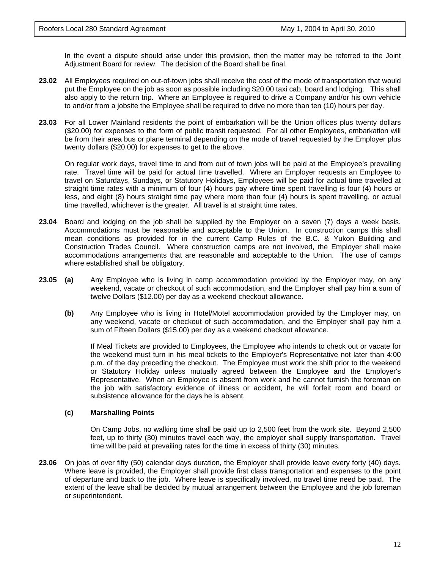In the event a dispute should arise under this provision, then the matter may be referred to the Joint Adjustment Board for review. The decision of the Board shall be final.

- **23.02** All Employees required on out-of-town jobs shall receive the cost of the mode of transportation that would put the Employee on the job as soon as possible including \$20.00 taxi cab, board and lodging. This shall also apply to the return trip. Where an Employee is required to drive a Company and/or his own vehicle to and/or from a jobsite the Employee shall be required to drive no more than ten (10) hours per day.
- **23.03** For all Lower Mainland residents the point of embarkation will be the Union offices plus twenty dollars (\$20.00) for expenses to the form of public transit requested. For all other Employees, embarkation will be from their area bus or plane terminal depending on the mode of travel requested by the Employer plus twenty dollars (\$20.00) for expenses to get to the above.

On regular work days, travel time to and from out of town jobs will be paid at the Employee's prevailing rate. Travel time will be paid for actual time travelled. Where an Employer requests an Employee to travel on Saturdays, Sundays, or Statutory Holidays, Employees will be paid for actual time travelled at straight time rates with a minimum of four (4) hours pay where time spent travelling is four (4) hours or less, and eight (8) hours straight time pay where more than four (4) hours is spent travelling, or actual time travelled, whichever is the greater. All travel is at straight time rates.

- **23.04** Board and lodging on the job shall be supplied by the Employer on a seven (7) days a week basis. Accommodations must be reasonable and acceptable to the Union. In construction camps this shall mean conditions as provided for in the current Camp Rules of the B.C. & Yukon Building and Construction Trades Council. Where construction camps are not involved, the Employer shall make accommodations arrangements that are reasonable and acceptable to the Union. The use of camps where established shall be obligatory.
- **23.05** (a) Any Employee who is living in camp accommodation provided by the Employer may, on any weekend, vacate or checkout of such accommodation, and the Employer shall pay him a sum of twelve Dollars (\$12.00) per day as a weekend checkout allowance.
	- **(b)** Any Employee who is living in Hotel/Motel accommodation provided by the Employer may, on any weekend, vacate or checkout of such accommodation, and the Employer shall pay him a sum of Fifteen Dollars (\$15.00) per day as a weekend checkout allowance.

If Meal Tickets are provided to Employees, the Employee who intends to check out or vacate for the weekend must turn in his meal tickets to the Employer's Representative not later than 4:00 p.m. of the day preceding the checkout. The Employee must work the shift prior to the weekend or Statutory Holiday unless mutually agreed between the Employee and the Employer's Representative. When an Employee is absent from work and he cannot furnish the foreman on the job with satisfactory evidence of illness or accident, he will forfeit room and board or subsistence allowance for the days he is absent.

# **(c) Marshalling Points**

On Camp Jobs, no walking time shall be paid up to 2,500 feet from the work site. Beyond 2,500 feet, up to thirty (30) minutes travel each way, the employer shall supply transportation. Travel time will be paid at prevailing rates for the time in excess of thirty (30) minutes.

**23.06** On jobs of over fifty (50) calendar days duration, the Employer shall provide leave every forty (40) days. Where leave is provided, the Employer shall provide first class transportation and expenses to the point of departure and back to the job. Where leave is specifically involved, no travel time need be paid. The extent of the leave shall be decided by mutual arrangement between the Employee and the job foreman or superintendent.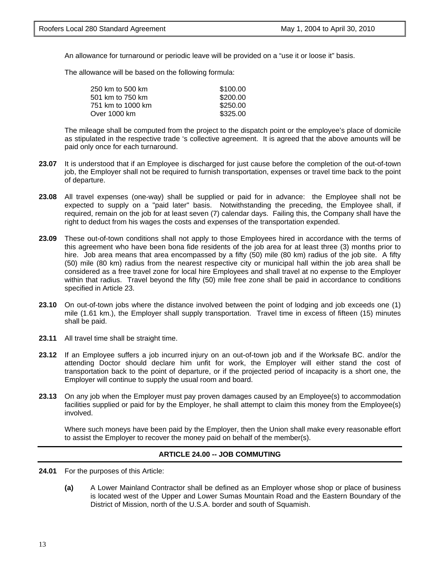An allowance for turnaround or periodic leave will be provided on a "use it or loose it" basis.

The allowance will be based on the following formula:

| 250 km to 500 km  | \$100.00 |
|-------------------|----------|
| 501 km to 750 km  | \$200.00 |
| 751 km to 1000 km | \$250.00 |
| Over 1000 km      | \$325.00 |

The mileage shall be computed from the project to the dispatch point or the employee's place of domicile as stipulated in the respective trade 's collective agreement. It is agreed that the above amounts will be paid only once for each turnaround.

- **23.07** It is understood that if an Employee is discharged for just cause before the completion of the out-of-town iob, the Employer shall not be required to furnish transportation, expenses or travel time back to the point of departure.
- **23.08** All travel expenses (one-way) shall be supplied or paid for in advance: the Employee shall not be expected to supply on a "paid later" basis. Notwithstanding the preceding, the Employee shall, if required, remain on the job for at least seven (7) calendar days. Failing this, the Company shall have the right to deduct from his wages the costs and expenses of the transportation expended.
- **23.09** These out-of-town conditions shall not apply to those Employees hired in accordance with the terms of this agreement who have been bona fide residents of the job area for at least three (3) months prior to hire. Job area means that area encompassed by a fifty (50) mile (80 km) radius of the job site. A fifty (50) mile (80 km) radius from the nearest respective city or municipal hall within the job area shall be considered as a free travel zone for local hire Employees and shall travel at no expense to the Employer within that radius. Travel beyond the fifty (50) mile free zone shall be paid in accordance to conditions specified in Article 23.
- **23.10** On out-of-town jobs where the distance involved between the point of lodging and job exceeds one (1) mile (1.61 km.), the Employer shall supply transportation. Travel time in excess of fifteen (15) minutes shall be paid.
- **23.11** All travel time shall be straight time.
- **23.12** If an Employee suffers a job incurred injury on an out-of-town job and if the Worksafe BC. and/or the attending Doctor should declare him unfit for work, the Employer will either stand the cost of transportation back to the point of departure, or if the projected period of incapacity is a short one, the Employer will continue to supply the usual room and board.
- **23.13** On any job when the Employer must pay proven damages caused by an Employee(s) to accommodation facilities supplied or paid for by the Employer, he shall attempt to claim this money from the Employee(s) involved.

Where such moneys have been paid by the Employer, then the Union shall make every reasonable effort to assist the Employer to recover the money paid on behalf of the member(s).

# **ARTICLE 24.00 -- JOB COMMUTING**

- **24.01** For the purposes of this Article:
	- **(a)** A Lower Mainland Contractor shall be defined as an Employer whose shop or place of business is located west of the Upper and Lower Sumas Mountain Road and the Eastern Boundary of the District of Mission, north of the U.S.A. border and south of Squamish.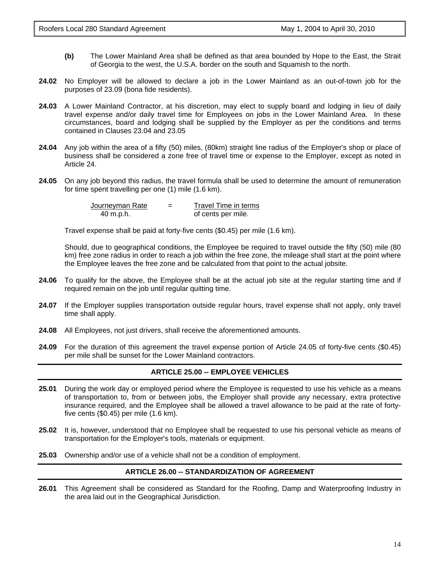- **(b)** The Lower Mainland Area shall be defined as that area bounded by Hope to the East, the Strait of Georgia to the west, the U.S.A. border on the south and Squamish to the north.
- **24.02** No Employer will be allowed to declare a job in the Lower Mainland as an out-of-town job for the purposes of 23.09 (bona fide residents).
- **24.03** A Lower Mainland Contractor, at his discretion, may elect to supply board and lodging in lieu of daily travel expense and/or daily travel time for Employees on jobs in the Lower Mainland Area. In these circumstances, board and lodging shall be supplied by the Employer as per the conditions and terms contained in Clauses 23.04 and 23.05
- **24.04** Any job within the area of a fifty (50) miles, (80km) straight line radius of the Employer's shop or place of business shall be considered a zone free of travel time or expense to the Employer, except as noted in Article 24.
- **24.05** On any job beyond this radius, the travel formula shall be used to determine the amount of remuneration for time spent travelling per one (1) mile (1.6 km).

| Journeyman Rate | $=$ | Travel Time in terms |
|-----------------|-----|----------------------|
| 40 m.p.h.       |     | of cents per mile.   |

Travel expense shall be paid at forty-five cents (\$0.45) per mile (1.6 km).

Should, due to geographical conditions, the Employee be required to travel outside the fifty (50) mile (80 km) free zone radius in order to reach a job within the free zone, the mileage shall start at the point where the Employee leaves the free zone and be calculated from that point to the actual jobsite.

- **24.06** To qualify for the above, the Employee shall be at the actual job site at the regular starting time and if required remain on the job until regular quitting time.
- **24.07** If the Employer supplies transportation outside regular hours, travel expense shall not apply, only travel time shall apply.
- **24.08** All Employees, not just drivers, shall receive the aforementioned amounts.
- **24.09** For the duration of this agreement the travel expense portion of Article 24.05 of forty-five cents (\$0.45) per mile shall be sunset for the Lower Mainland contractors.

# **ARTICLE 25.00 -- EMPLOYEE VEHICLES**

- **25.01** During the work day or employed period where the Employee is requested to use his vehicle as a means of transportation to, from or between jobs, the Employer shall provide any necessary, extra protective insurance required, and the Employee shall be allowed a travel allowance to be paid at the rate of fortyfive cents (\$0.45) per mile (1.6 km).
- **25.02** It is, however, understood that no Employee shall be requested to use his personal vehicle as means of transportation for the Employer's tools, materials or equipment.
- **25.03** Ownership and/or use of a vehicle shall not be a condition of employment.

# **ARTICLE 26.00 -- STANDARDIZATION OF AGREEMENT**

**26.01** This Agreement shall be considered as Standard for the Roofing, Damp and Waterproofing Industry in the area laid out in the Geographical Jurisdiction.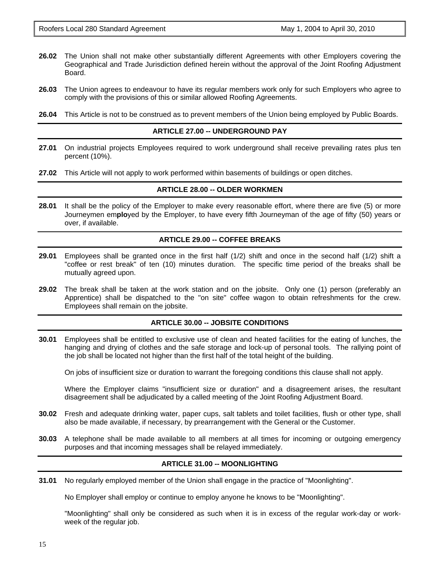- **26.02** The Union shall not make other substantially different Agreements with other Employers covering the Geographical and Trade Jurisdiction defined herein without the approval of the Joint Roofing Adjustment Board.
- **26.03** The Union agrees to endeavour to have its regular members work only for such Employers who agree to comply with the provisions of this or similar allowed Roofing Agreements.
- **26.04** This Article is not to be construed as to prevent members of the Union being employed by Public Boards.

#### **ARTICLE 27.00 -- UNDERGROUND PAY**

- **27.01** On industrial projects Employees required to work underground shall receive prevailing rates plus ten percent (10%).
- **27.02** This Article will not apply to work performed within basements of buildings or open ditches.

#### **ARTICLE 28.00 -- OLDER WORKMEN**

**28.01** It shall be the policy of the Employer to make every reasonable effort, where there are five (5) or more Journeymen em**plo**yed by the Employer, to have every fifth Journeyman of the age of fifty (50) years or over, if available.

#### **ARTICLE 29.00 -- COFFEE BREAKS**

- **29.01** Employees shall be granted once in the first half (1/2) shift and once in the second half (1/2) shift a "coffee or rest break" of ten (10) minutes duration. The specific time period of the breaks shall be mutually agreed upon.
- **29.02** The break shall be taken at the work station and on the jobsite. Only one (1) person (preferably an Apprentice) shall be dispatched to the "on site" coffee wagon to obtain refreshments for the crew. Employees shall remain on the jobsite.

#### **ARTICLE 30.00 -- JOBSITE CONDITIONS**

**30.01** Employees shall be entitled to exclusive use of clean and heated facilities for the eating of lunches, the hanging and drying of clothes and the safe storage and lock-up of personal tools. The rallying point of the job shall be located not higher than the first half of the total height of the building.

On jobs of insufficient size or duration to warrant the foregoing conditions this clause shall not apply.

Where the Employer claims "insufficient size or duration" and a disagreement arises, the resultant disagreement shall be adjudicated by a called meeting of the Joint Roofing Adjustment Board.

- **30.02** Fresh and adequate drinking water, paper cups, salt tablets and toilet facilities, flush or other type, shall also be made available, if necessary, by prearrangement with the General or the Customer.
- **30.03** A telephone shall be made available to all members at all times for incoming or outgoing emergency purposes and that incoming messages shall be relayed immediately.

#### **ARTICLE 31.00 -- MOONLIGHTING**

**31.01** No regularly employed member of the Union shall engage in the practice of "Moonlighting".

No Employer shall employ or continue to employ anyone he knows to be "Moonlighting".

"Moonlighting" shall only be considered as such when it is in excess of the regular work-day or workweek of the regular job.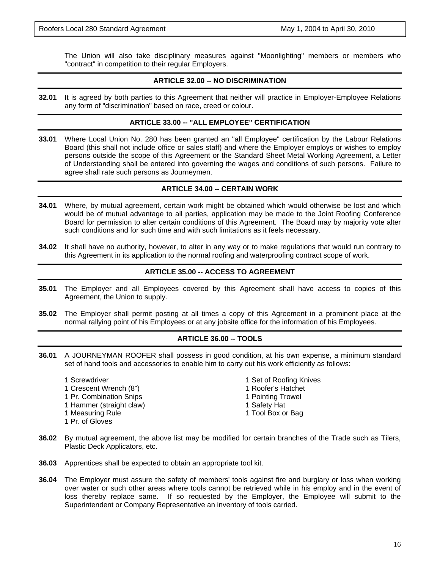The Union will also take disciplinary measures against "Moonlighting" members or members who "contract" in competition to their regular Employers.

# **ARTICLE 32.00 -- NO DISCRIMINATION**

**32.01** It is agreed by both parties to this Agreement that neither will practice in Employer-Employee Relations any form of "discrimination" based on race, creed or colour.

#### **ARTICLE 33.00 -- "ALL EMPLOYEE" CERTIFICATION**

**33.01** Where Local Union No. 280 has been granted an "all Employee" certification by the Labour Relations Board (this shall not include office or sales staff) and where the Employer employs or wishes to employ persons outside the scope of this Agreement or the Standard Sheet Metal Working Agreement, a Letter of Understanding shall be entered into governing the wages and conditions of such persons. Failure to agree shall rate such persons as Journeymen.

#### **ARTICLE 34.00 -- CERTAIN WORK**

- **34.01** Where, by mutual agreement, certain work might be obtained which would otherwise be lost and which would be of mutual advantage to all parties, application may be made to the Joint Roofing Conference Board for permission to alter certain conditions of this Agreement. The Board may by majority vote alter such conditions and for such time and with such limitations as it feels necessary.
- **34.02** It shall have no authority, however, to alter in any way or to make regulations that would run contrary to this Agreement in its application to the normal roofing and waterproofing contract scope of work.

#### **ARTICLE 35.00 -- ACCESS TO AGREEMENT**

- **35.01** The Employer and all Employees covered by this Agreement shall have access to copies of this Agreement, the Union to supply.
- **35.02** The Employer shall permit posting at all times a copy of this Agreement in a prominent place at the normal rallying point of his Employees or at any jobsite office for the information of his Employees.

#### **ARTICLE 36.00 -- TOOLS**

**36.01** A JOURNEYMAN ROOFER shall possess in good condition, at his own expense, a minimum standard set of hand tools and accessories to enable him to carry out his work efficiently as follows:

1 Screwdriver 1 November 2 Set of Roofing Knives 1 Crescent Wrench (8") 1 **1 Roofer's Hatchet** 1 Pr. Combination Snips 1 Pointing Trowel 1 Hammer (straight claw) 1 Safety Hat 1 Measuring Rule 1 November 2012 1 Tool Box or Bag 1 Pr. of Gloves

- 
- 
- 
- 
- 
- **36.02** By mutual agreement, the above list may be modified for certain branches of the Trade such as Tilers, Plastic Deck Applicators, etc.
- **36.03** Apprentices shall be expected to obtain an appropriate tool kit.
- **36.04** The Employer must assure the safety of members' tools against fire and burglary or loss when working over water or such other areas where tools cannot be retrieved while in his employ and in the event of loss thereby replace same. If so requested by the Employer, the Employee will submit to the Superintendent or Company Representative an inventory of tools carried.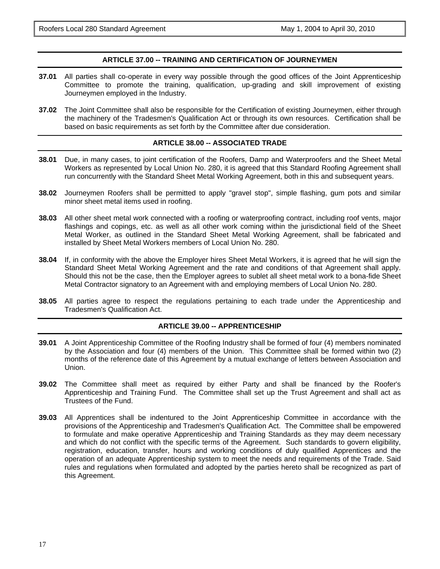# **ARTICLE 37.00 -- TRAINING AND CERTIFICATION OF JOURNEYMEN**

- **37.01** All parties shall co-operate in every way possible through the good offices of the Joint Apprenticeship Committee to promote the training, qualification, up-grading and skill improvement of existing Journeymen employed in the Industry.
- **37.02** The Joint Committee shall also be responsible for the Certification of existing Journeymen, either through the machinery of the Tradesmen's Qualification Act or through its own resources. Certification shall be based on basic requirements as set forth by the Committee after due consideration.

#### **ARTICLE 38.00 -- ASSOCIATED TRADE**

- **38.01** Due, in many cases, to joint certification of the Roofers, Damp and Waterproofers and the Sheet Metal Workers as represented by Local Union No. 280, it is agreed that this Standard Roofing Agreement shall run concurrently with the Standard Sheet Metal Working Agreement, both in this and subsequent years.
- **38.02** Journeymen Roofers shall be permitted to apply "gravel stop", simple flashing, gum pots and similar minor sheet metal items used in roofing.
- **38.03** All other sheet metal work connected with a roofing or waterproofing contract, including roof vents, major flashings and copings, etc. as well as all other work coming within the jurisdictional field of the Sheet Metal Worker, as outlined in the Standard Sheet Metal Working Agreement, shall be fabricated and installed by Sheet Metal Workers members of Local Union No. 280.
- **38.04** If, in conformity with the above the Employer hires Sheet Metal Workers, it is agreed that he will sign the Standard Sheet Metal Working Agreement and the rate and conditions of that Agreement shall apply. Should this not be the case, then the Employer agrees to sublet all sheet metal work to a bona-fide Sheet Metal Contractor signatory to an Agreement with and employing members of Local Union No. 280.
- **38.05** All parties agree to respect the regulations pertaining to each trade under the Apprenticeship and Tradesmen's Qualification Act.

#### **ARTICLE 39.00 -- APPRENTICESHIP**

- **39.01** A Joint Apprenticeship Committee of the Roofing Industry shall be formed of four (4) members nominated by the Association and four (4) members of the Union. This Committee shall be formed within two (2) months of the reference date of this Agreement by a mutual exchange of letters between Association and Union.
- **39.02** The Committee shall meet as required by either Party and shall be financed by the Roofer's Apprenticeship and Training Fund. The Committee shall set up the Trust Agreement and shall act as Trustees of the Fund.
- **39.03** All Apprentices shall be indentured to the Joint Apprenticeship Committee in accordance with the provisions of the Apprenticeship and Tradesmen's Qualification Act. The Committee shall be empowered to formulate and make operative Apprenticeship and Training Standards as they may deem necessary and which do not conflict with the specific terms of the Agreement. Such standards to govern eligibility, registration, education, transfer, hours and working conditions of duly qualified Apprentices and the operation of an adequate Apprenticeship system to meet the needs and requirements of the Trade. Said rules and regulations when formulated and adopted by the parties hereto shall be recognized as part of this Agreement.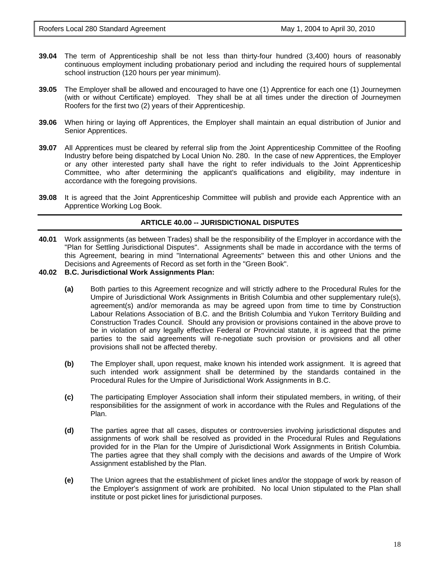- **39.04** The term of Apprenticeship shall be not less than thirty-four hundred (3,400) hours of reasonably continuous employment including probationary period and including the required hours of supplemental school instruction (120 hours per year minimum).
- **39.05** The Employer shall be allowed and encouraged to have one (1) Apprentice for each one (1) Journeymen (with or without Certificate) employed. They shall be at all times under the direction of Journeymen Roofers for the first two (2) years of their Apprenticeship.
- **39.06** When hiring or laying off Apprentices, the Employer shall maintain an equal distribution of Junior and Senior Apprentices.
- **39.07** All Apprentices must be cleared by referral slip from the Joint Apprenticeship Committee of the Roofing Industry before being dispatched by Local Union No. 280. In the case of new Apprentices, the Employer or any other interested party shall have the right to refer individuals to the Joint Apprenticeship Committee, who after determining the applicant's qualifications and eligibility, may indenture in accordance with the foregoing provisions.
- **39.08** It is agreed that the Joint Apprenticeship Committee will publish and provide each Apprentice with an Apprentice Working Log Book.

#### **ARTICLE 40.00 -- JURISDICTIONAL DISPUTES**

- **40.01** Work assignments (as between Trades) shall be the responsibility of the Employer in accordance with the "Plan for Settling Jurisdictional Disputes". Assignments shall be made in accordance with the terms of this Agreement, bearing in mind "International Agreements" between this and other Unions and the Decisions and Agreements of Record as set forth in the "Green Book".
- **40.02 B.C. Jurisdictional Work Assignments Plan:** 
	- **(a)** Both parties to this Agreement recognize and will strictly adhere to the Procedural Rules for the Umpire of Jurisdictional Work Assignments in British Columbia and other supplementary rule(s), agreement(s) and/or memoranda as may be agreed upon from time to time by Construction Labour Relations Association of B.C. and the British Columbia and Yukon Territory Building and Construction Trades Council. Should any provision or provisions contained in the above prove to be in violation of any legally effective Federal or Provincial statute, it is agreed that the prime parties to the said agreements will re-negotiate such provision or provisions and all other provisions shall not be affected thereby.
	- **(b)** The Employer shall, upon request, make known his intended work assignment. It is agreed that such intended work assignment shall be determined by the standards contained in the Procedural Rules for the Umpire of Jurisdictional Work Assignments in B.C.
	- **(c)** The participating Employer Association shall inform their stipulated members, in writing, of their responsibilities for the assignment of work in accordance with the Rules and Regulations of the Plan.
	- **(d)** The parties agree that all cases, disputes or controversies involving jurisdictional disputes and assignments of work shall be resolved as provided in the Procedural Rules and Regulations provided for in the Plan for the Umpire of Jurisdictional Work Assignments in British Columbia. The parties agree that they shall comply with the decisions and awards of the Umpire of Work Assignment established by the Plan.
	- **(e)** The Union agrees that the establishment of picket lines and/or the stoppage of work by reason of the Employer's assignment of work are prohibited. No local Union stipulated to the Plan shall institute or post picket lines for jurisdictional purposes.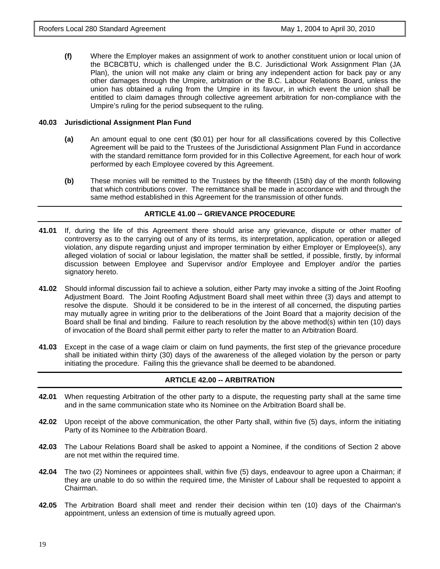**(f)** Where the Employer makes an assignment of work to another constituent union or local union of the BCBCBTU, which is challenged under the B.C. Jurisdictional Work Assignment Plan (JA Plan), the union will not make any claim or bring any independent action for back pay or any other damages through the Umpire, arbitration or the B.C. Labour Relations Board, unless the union has obtained a ruling from the Umpire in its favour, in which event the union shall be entitled to claim damages through collective agreement arbitration for non-compliance with the Umpire's ruling for the period subsequent to the ruling.

#### **40.03 Jurisdictional Assignment Plan Fund**

- **(a)** An amount equal to one cent (\$0.01) per hour for all classifications covered by this Collective Agreement will be paid to the Trustees of the Jurisdictional Assignment Plan Fund in accordance with the standard remittance form provided for in this Collective Agreement, for each hour of work performed by each Employee covered by this Agreement.
- **(b)** These monies will be remitted to the Trustees by the fifteenth (15th) day of the month following that which contributions cover. The remittance shall be made in accordance with and through the same method established in this Agreement for the transmission of other funds.

# **ARTICLE 41.00 -- GRIEVANCE PROCEDURE**

- **41.01** If, during the life of this Agreement there should arise any grievance, dispute or other matter of controversy as to the carrying out of any of its terms, its interpretation, application, operation or alleged violation, any dispute regarding unjust and improper termination by either Employer or Employee(s), any alleged violation of social or labour legislation, the matter shall be settled, if possible, firstly, by informal discussion between Employee and Supervisor and/or Employee and Employer and/or the parties signatory hereto.
- **41.02** Should informal discussion fail to achieve a solution, either Party may invoke a sitting of the Joint Roofing Adjustment Board. The Joint Roofing Adjustment Board shall meet within three (3) days and attempt to resolve the dispute. Should it be considered to be in the interest of all concerned, the disputing parties may mutually agree in writing prior to the deliberations of the Joint Board that a majority decision of the Board shall be final and binding. Failure to reach resolution by the above method(s) within ten (10) days of invocation of the Board shall permit either party to refer the matter to an Arbitration Board.
- **41.03** Except in the case of a wage claim or claim on fund payments, the first step of the grievance procedure shall be initiated within thirty (30) days of the awareness of the alleged violation by the person or party initiating the procedure. Failing this the grievance shall be deemed to be abandoned.

# **ARTICLE 42.00 -- ARBITRATION**

- **42.01** When requesting Arbitration of the other party to a dispute, the requesting party shall at the same time and in the same communication state who its Nominee on the Arbitration Board shall be.
- **42.02** Upon receipt of the above communication, the other Party shall, within five (5) days, inform the initiating Party of its Nominee to the Arbitration Board.
- **42.03** The Labour Relations Board shall be asked to appoint a Nominee, if the conditions of Section 2 above are not met within the required time.
- **42.04** The two (2) Nominees or appointees shall, within five (5) days, endeavour to agree upon a Chairman; if they are unable to do so within the required time, the Minister of Labour shall be requested to appoint a Chairman.
- **42.05** The Arbitration Board shall meet and render their decision within ten (10) days of the Chairman's appointment, unless an extension of time is mutually agreed upon.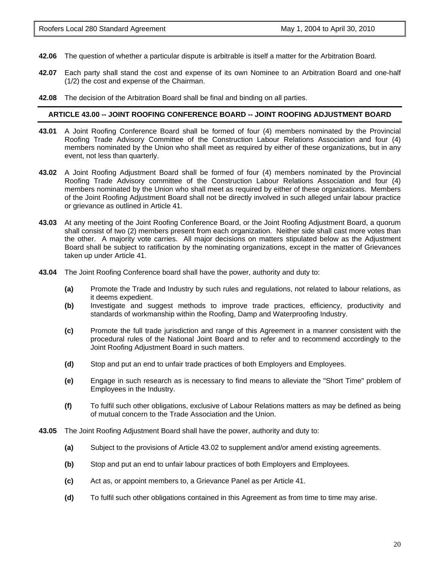- **42.06** The question of whether a particular dispute is arbitrable is itself a matter for the Arbitration Board.
- **42.07** Each party shall stand the cost and expense of its own Nominee to an Arbitration Board and one-half (1/2) the cost and expense of the Chairman.
- **42.08** The decision of the Arbitration Board shall be final and binding on all parties.

### **ARTICLE 43.00 -- JOINT ROOFING CONFERENCE BOARD -- JOINT ROOFING ADJUSTMENT BOARD**

- **43.01** A Joint Roofing Conference Board shall be formed of four (4) members nominated by the Provincial Roofing Trade Advisory Committee of the Construction Labour Relations Association and four (4) members nominated by the Union who shall meet as required by either of these organizations, but in any event, not less than quarterly.
- **43.02** A Joint Roofing Adjustment Board shall be formed of four (4) members nominated by the Provincial Roofing Trade Advisory committee of the Construction Labour Relations Association and four (4) members nominated by the Union who shall meet as required by either of these organizations. Members of the Joint Roofing Adjustment Board shall not be directly involved in such alleged unfair labour practice or grievance as outlined in Article 41.
- **43.03** At any meeting of the Joint Roofing Conference Board, or the Joint Roofing Adjustment Board, a quorum shall consist of two (2) members present from each organization. Neither side shall cast more votes than the other. A majority vote carries. All major decisions on matters stipulated below as the Adjustment Board shall be subject to ratification by the nominating organizations, except in the matter of Grievances taken up under Article 41.
- **43.04** The Joint Roofing Conference board shall have the power, authority and duty to:
	- **(a)** Promote the Trade and Industry by such rules and regulations, not related to labour relations, as it deems expedient.
	- **(b)** Investigate and suggest methods to improve trade practices, efficiency, productivity and standards of workmanship within the Roofing, Damp and Waterproofing Industry.
	- **(c)** Promote the full trade jurisdiction and range of this Agreement in a manner consistent with the procedural rules of the National Joint Board and to refer and to recommend accordingly to the Joint Roofing Adjustment Board in such matters.
	- **(d)** Stop and put an end to unfair trade practices of both Employers and Employees.
	- **(e)** Engage in such research as is necessary to find means to alleviate the "Short Time" problem of Employees in the Industry.
	- **(f)** To fulfil such other obligations, exclusive of Labour Relations matters as may be defined as being of mutual concern to the Trade Association and the Union.
- **43.05** The Joint Roofing Adjustment Board shall have the power, authority and duty to:
	- **(a)** Subject to the provisions of Article 43.02 to supplement and/or amend existing agreements.
	- **(b)** Stop and put an end to unfair labour practices of both Employers and Employees.
	- **(c)** Act as, or appoint members to, a Grievance Panel as per Article 41.
	- **(d)** To fulfil such other obligations contained in this Agreement as from time to time may arise.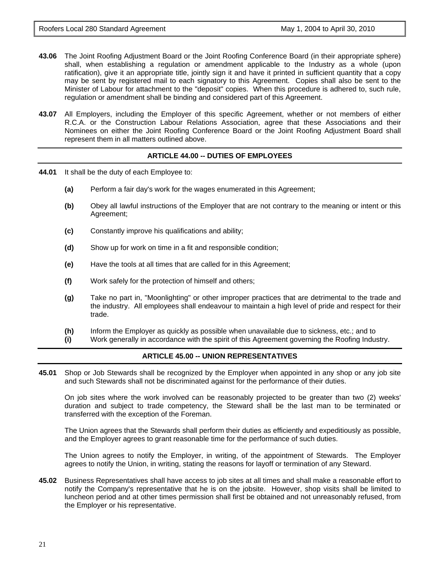- **43.06** The Joint Roofing Adjustment Board or the Joint Roofing Conference Board (in their appropriate sphere) shall, when establishing a regulation or amendment applicable to the Industry as a whole (upon ratification), give it an appropriate title, jointly sign it and have it printed in sufficient quantity that a copy may be sent by registered mail to each signatory to this Agreement. Copies shall also be sent to the Minister of Labour for attachment to the "deposit" copies. When this procedure is adhered to, such rule, regulation or amendment shall be binding and considered part of this Agreement.
- **43.07** All Employers, including the Employer of this specific Agreement, whether or not members of either R.C.A. or the Construction Labour Relations Association, agree that these Associations and their Nominees on either the Joint Roofing Conference Board or the Joint Roofing Adjustment Board shall represent them in all matters outlined above.

# **ARTICLE 44.00 -- DUTIES OF EMPLOYEES**

- **44.01** It shall be the duty of each Employee to:
	- **(a)** Perform a fair day's work for the wages enumerated in this Agreement;
	- **(b)** Obey all lawful instructions of the Employer that are not contrary to the meaning or intent or this Agreement;
	- **(c)** Constantly improve his qualifications and ability;
	- **(d)** Show up for work on time in a fit and responsible condition;
	- **(e)** Have the tools at all times that are called for in this Agreement;
	- **(f)** Work safely for the protection of himself and others;
	- **(g)** Take no part in, "Moonlighting" or other improper practices that are detrimental to the trade and the industry. All employees shall endeavour to maintain a high level of pride and respect for their trade.
	- **(h)** Inform the Employer as quickly as possible when unavailable due to sickness, etc.; and to
	- **(i)** Work generally in accordance with the spirit of this Agreement governing the Roofing Industry.

#### **ARTICLE 45.00 -- UNION REPRESENTATIVES**

**45.01** Shop or Job Stewards shall be recognized by the Employer when appointed in any shop or any job site and such Stewards shall not be discriminated against for the performance of their duties.

On job sites where the work involved can be reasonably projected to be greater than two (2) weeks' duration and subject to trade competency, the Steward shall be the last man to be terminated or transferred with the exception of the Foreman.

The Union agrees that the Stewards shall perform their duties as efficiently and expeditiously as possible, and the Employer agrees to grant reasonable time for the performance of such duties.

The Union agrees to notify the Employer, in writing, of the appointment of Stewards. The Employer agrees to notify the Union, in writing, stating the reasons for layoff or termination of any Steward.

**45.02** Business Representatives shall have access to job sites at all times and shall make a reasonable effort to notify the Company's representative that he is on the jobsite. However, shop visits shall be limited to luncheon period and at other times permission shall first be obtained and not unreasonably refused, from the Employer or his representative.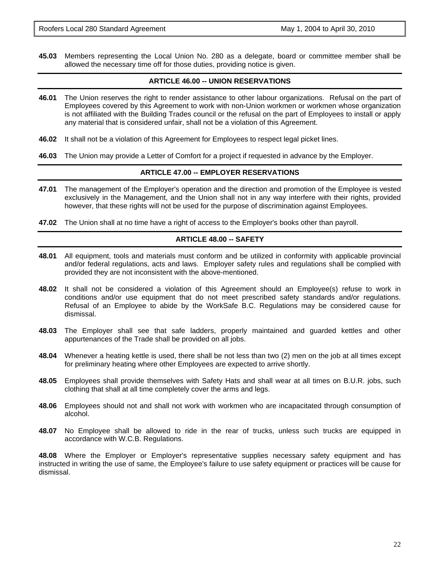**45.03** Members representing the Local Union No. 280 as a delegate, board or committee member shall be allowed the necessary time off for those duties, providing notice is given.

# **ARTICLE 46.00 -- UNION RESERVATIONS**

- **46.01** The Union reserves the right to render assistance to other labour organizations. Refusal on the part of Employees covered by this Agreement to work with non-Union workmen or workmen whose organization is not affiliated with the Building Trades council or the refusal on the part of Employees to install or apply any material that is considered unfair, shall not be a violation of this Agreement.
- **46.02** It shall not be a violation of this Agreement for Employees to respect legal picket lines.
- **46.03** The Union may provide a Letter of Comfort for a project if requested in advance by the Employer.

# **ARTICLE 47.00 -- EMPLOYER RESERVATIONS**

- **47.01** The management of the Employer's operation and the direction and promotion of the Employee is vested exclusively in the Management, and the Union shall not in any way interfere with their rights, provided however, that these rights will not be used for the purpose of discrimination against Employees.
- **47.02** The Union shall at no time have a right of access to the Employer's books other than payroll.

# **ARTICLE 48.00 -- SAFETY**

- **48.01** All equipment, tools and materials must conform and be utilized in conformity with applicable provincial and/or federal regulations, acts and laws. Employer safety rules and regulations shall be complied with provided they are not inconsistent with the above-mentioned.
- **48.02** It shall not be considered a violation of this Agreement should an Employee(s) refuse to work in conditions and/or use equipment that do not meet prescribed safety standards and/or regulations. Refusal of an Employee to abide by the WorkSafe B.C. Regulations may be considered cause for dismissal.
- **48.03** The Employer shall see that safe ladders, properly maintained and guarded kettles and other appurtenances of the Trade shall be provided on all jobs.
- **48.04** Whenever a heating kettle is used, there shall be not less than two (2) men on the job at all times except for preliminary heating where other Employees are expected to arrive shortly.
- **48.05** Employees shall provide themselves with Safety Hats and shall wear at all times on B.U.R. jobs, such clothing that shall at all time completely cover the arms and legs.
- **48.06** Employees should not and shall not work with workmen who are incapacitated through consumption of alcohol.
- **48.07** No Employee shall be allowed to ride in the rear of trucks, unless such trucks are equipped in accordance with W.C.B. Regulations.

**48.08** Where the Employer or Employer's representative supplies necessary safety equipment and has instructed in writing the use of same, the Employee's failure to use safety equipment or practices will be cause for dismissal.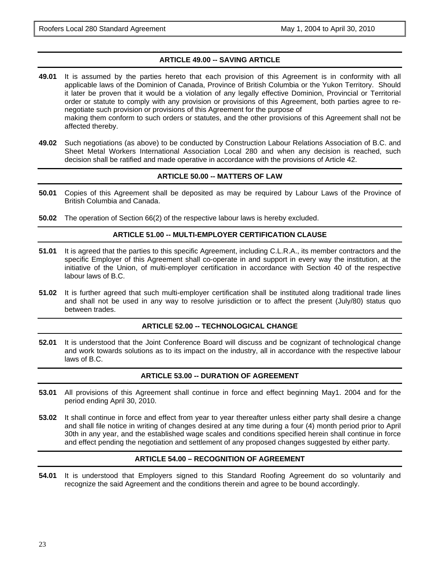# **ARTICLE 49.00 -- SAVING ARTICLE**

- **49.01** It is assumed by the parties hereto that each provision of this Agreement is in conformity with all applicable laws of the Dominion of Canada, Province of British Columbia or the Yukon Territory. Should it later be proven that it would be a violation of any legally effective Dominion, Provincial or Territorial order or statute to comply with any provision or provisions of this Agreement, both parties agree to renegotiate such provision or provisions of this Agreement for the purpose of making them conform to such orders or statutes, and the other provisions of this Agreement shall not be affected thereby.
- **49.02** Such negotiations (as above) to be conducted by Construction Labour Relations Association of B.C. and Sheet Metal Workers International Association Local 280 and when any decision is reached, such decision shall be ratified and made operative in accordance with the provisions of Article 42.

#### **ARTICLE 50.00 -- MATTERS OF LAW**

- **50.01** Copies of this Agreement shall be deposited as may be required by Labour Laws of the Province of British Columbia and Canada.
- **50.02** The operation of Section 66(2) of the respective labour laws is hereby excluded.

# **ARTICLE 51.00 -- MULTI-EMPLOYER CERTIFICATION CLAUSE**

- **51.01** It is agreed that the parties to this specific Agreement, including C.L.R.A., its member contractors and the specific Employer of this Agreement shall co-operate in and support in every way the institution, at the initiative of the Union, of multi-employer certification in accordance with Section 40 of the respective labour laws of B.C.
- **51.02** It is further agreed that such multi-employer certification shall be instituted along traditional trade lines and shall not be used in any way to resolve jurisdiction or to affect the present (July/80) status quo between trades.

#### **ARTICLE 52.00 -- TECHNOLOGICAL CHANGE**

**52.01** It is understood that the Joint Conference Board will discuss and be cognizant of technological change and work towards solutions as to its impact on the industry, all in accordance with the respective labour laws of B.C.

#### **ARTICLE 53.00 -- DURATION OF AGREEMENT**

- **53.01** All provisions of this Agreement shall continue in force and effect beginning May1. 2004 and for the period ending April 30, 2010.
- **53.02** It shall continue in force and effect from year to year thereafter unless either party shall desire a change and shall file notice in writing of changes desired at any time during a four (4) month period prior to April 30th in any year, and the established wage scales and conditions specified herein shall continue in force and effect pending the negotiation and settlement of any proposed changes suggested by either party.

#### **ARTICLE 54.00 – RECOGNITION OF AGREEMENT**

**54.01** It is understood that Employers signed to this Standard Roofing Agreement do so voluntarily and recognize the said Agreement and the conditions therein and agree to be bound accordingly.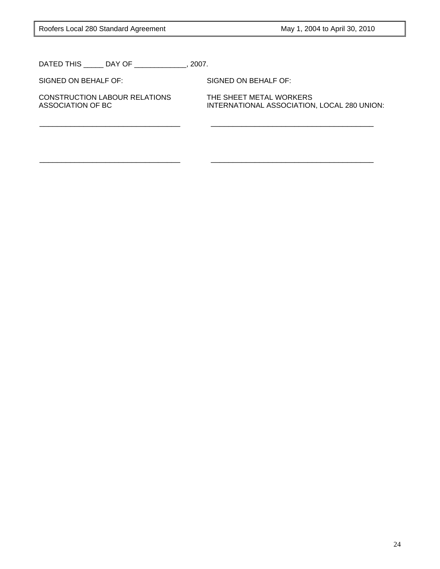DATED THIS \_\_\_\_\_ DAY OF \_\_\_\_\_\_\_\_\_\_\_\_\_, 2007.

SIGNED ON BEHALF OF: SIGNED ON BEHALF OF:

\_\_\_\_\_\_\_\_\_\_\_\_\_\_\_\_\_\_\_\_\_\_\_\_\_\_\_\_\_\_\_\_ \_\_\_\_\_\_\_\_\_\_\_\_\_\_\_\_\_\_\_\_\_\_\_\_\_\_\_\_\_\_\_\_\_\_\_\_\_

\_\_\_\_\_\_\_\_\_\_\_\_\_\_\_\_\_\_\_\_\_\_\_\_\_\_\_\_\_\_\_\_ \_\_\_\_\_\_\_\_\_\_\_\_\_\_\_\_\_\_\_\_\_\_\_\_\_\_\_\_\_\_\_\_\_\_\_\_\_

CONSTRUCTION LABOUR RELATIONS THE SHEET METAL WORKERS

ASSOCIATION OF BC INTERNATIONAL ASSOCIATION, LOCAL 280 UNION: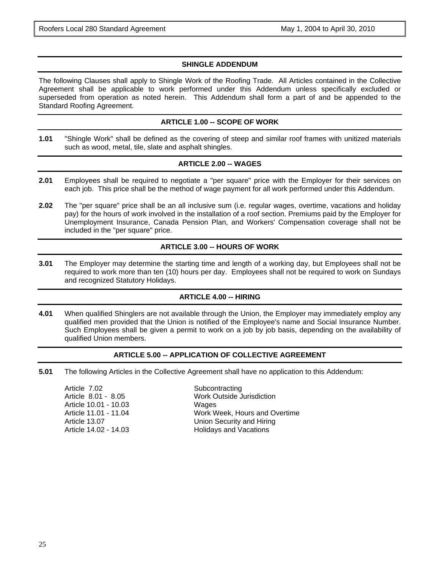# **SHINGLE ADDENDUM**

The following Clauses shall apply to Shingle Work of the Roofing Trade. All Articles contained in the Collective Agreement shall be applicable to work performed under this Addendum unless specifically excluded or superseded from operation as noted herein. This Addendum shall form a part of and be appended to the Standard Roofing Agreement.

#### **ARTICLE 1.00 -- SCOPE OF WORK**

**1.01** "Shingle Work" shall be defined as the covering of steep and similar roof frames with unitized materials such as wood, metal, tile, slate and asphalt shingles.

# **ARTICLE 2.00 -- WAGES**

- **2.01** Employees shall be required to negotiate a "per square" price with the Employer for their services on each job. This price shall be the method of wage payment for all work performed under this Addendum.
- **2.02** The "per square" price shall be an all inclusive sum (i.e. regular wages, overtime, vacations and holiday pay) for the hours of work involved in the installation of a roof section. Premiums paid by the Employer for Unemployment Insurance, Canada Pension Plan, and Workers' Compensation coverage shall not be included in the "per square" price.

# **ARTICLE 3.00 -- HOURS OF WORK**

**3.01** The Employer may determine the starting time and length of a working day, but Employees shall not be required to work more than ten (10) hours per day. Employees shall not be required to work on Sundays and recognized Statutory Holidays.

# **ARTICLE 4.00 -- HIRING**

**4.01** When qualified Shinglers are not available through the Union, the Employer may immediately employ any qualified men provided that the Union is notified of the Employee's name and Social Insurance Number. Such Employees shall be given a permit to work on a job by job basis, depending on the availability of qualified Union members.

#### **ARTICLE 5.00 -- APPLICATION OF COLLECTIVE AGREEMENT**

**5.01** The following Articles in the Collective Agreement shall have no application to this Addendum:

| Work Week, Hours and Overtime |
|-------------------------------|
|                               |
|                               |
|                               |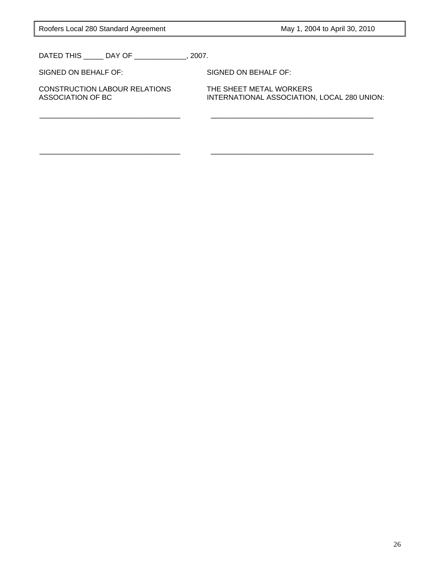Roofers Local 280 Standard Agreement May 1, 2004 to April 30, 2010

DATED THIS \_\_\_\_\_ DAY OF \_\_\_\_\_\_\_\_\_\_\_\_\_, 2007.

SIGNED ON BEHALF OF: SIGNED ON BEHALF OF:

\_\_\_\_\_\_\_\_\_\_\_\_\_\_\_\_\_\_\_\_\_\_\_\_\_\_\_\_\_\_\_\_ \_\_\_\_\_\_\_\_\_\_\_\_\_\_\_\_\_\_\_\_\_\_\_\_\_\_\_\_\_\_\_\_\_\_\_\_\_

\_\_\_\_\_\_\_\_\_\_\_\_\_\_\_\_\_\_\_\_\_\_\_\_\_\_\_\_\_\_\_\_ \_\_\_\_\_\_\_\_\_\_\_\_\_\_\_\_\_\_\_\_\_\_\_\_\_\_\_\_\_\_\_\_\_\_\_\_\_

CONSTRUCTION LABOUR RELATIONS THE SHEET METAL WORKERS<br>ASSOCIATION OF BC THE SHEENATIONAL ASSOCIATION

INTERNATIONAL ASSOCIATION, LOCAL 280 UNION: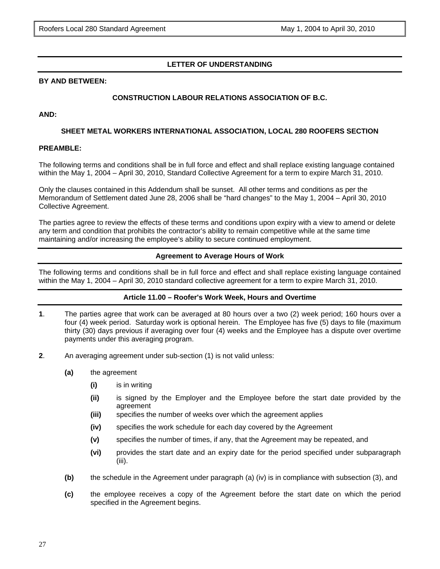# **LETTER OF UNDERSTANDING**

#### **BY AND BETWEEN:**

# **CONSTRUCTION LABOUR RELATIONS ASSOCIATION OF B.C.**

#### **AND:**

#### **SHEET METAL WORKERS INTERNATIONAL ASSOCIATION, LOCAL 280 ROOFERS SECTION**

#### **PREAMBLE:**

The following terms and conditions shall be in full force and effect and shall replace existing language contained within the May 1, 2004 – April 30, 2010, Standard Collective Agreement for a term to expire March 31, 2010.

Only the clauses contained in this Addendum shall be sunset. All other terms and conditions as per the Memorandum of Settlement dated June 28, 2006 shall be "hard changes" to the May 1, 2004 – April 30, 2010 Collective Agreement.

The parties agree to review the effects of these terms and conditions upon expiry with a view to amend or delete any term and condition that prohibits the contractor's ability to remain competitive while at the same time maintaining and/or increasing the employee's ability to secure continued employment.

#### **Agreement to Average Hours of Work**

The following terms and conditions shall be in full force and effect and shall replace existing language contained within the May 1, 2004 – April 30, 2010 standard collective agreement for a term to expire March 31, 2010.

#### **Article 11.00 – Roofer's Work Week, Hours and Overtime**

- **1**. The parties agree that work can be averaged at 80 hours over a two (2) week period; 160 hours over a four (4) week period. Saturday work is optional herein. The Employee has five (5) days to file (maximum thirty (30) days previous if averaging over four (4) weeks and the Employee has a dispute over overtime payments under this averaging program.
- **2**. An averaging agreement under sub-section (1) is not valid unless:
	- **(a)** the agreement
		- **(i)** is in writing
		- **(ii)** is signed by the Employer and the Employee before the start date provided by the agreement
		- **(iii)** specifies the number of weeks over which the agreement applies
		- **(iv)** specifies the work schedule for each day covered by the Agreement
		- **(v)** specifies the number of times, if any, that the Agreement may be repeated, and
		- **(vi)** provides the start date and an expiry date for the period specified under subparagraph (iii).
	- **(b)** the schedule in the Agreement under paragraph (a) (iv) is in compliance with subsection (3), and
	- **(c)** the employee receives a copy of the Agreement before the start date on which the period specified in the Agreement begins.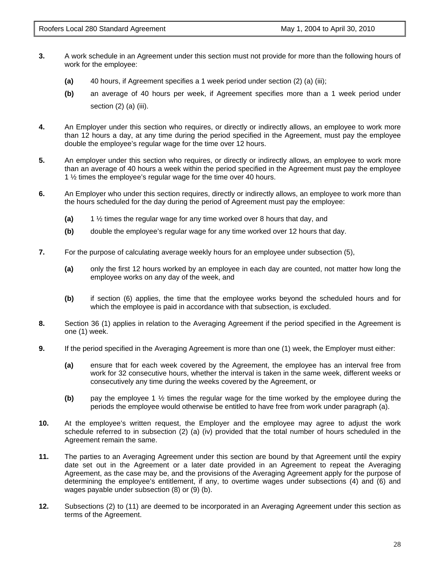- **3.** A work schedule in an Agreement under this section must not provide for more than the following hours of work for the employee:
	- **(a)** 40 hours, if Agreement specifies a 1 week period under section (2) (a) (iii);
	- **(b)** an average of 40 hours per week, if Agreement specifies more than a 1 week period under section (2) (a) (iii).
- **4.** An Employer under this section who requires, or directly or indirectly allows, an employee to work more than 12 hours a day, at any time during the period specified in the Agreement, must pay the employee double the employee's regular wage for the time over 12 hours.
- **5.** An employer under this section who requires, or directly or indirectly allows, an employee to work more than an average of 40 hours a week within the period specified in the Agreement must pay the employee 1 ½ times the employee's regular wage for the time over 40 hours.
- **6.** An Employer who under this section requires, directly or indirectly allows, an employee to work more than the hours scheduled for the day during the period of Agreement must pay the employee:
	- **(a)** 1 ½ times the regular wage for any time worked over 8 hours that day, and
	- **(b)** double the employee's regular wage for any time worked over 12 hours that day.
- **7.** For the purpose of calculating average weekly hours for an employee under subsection (5),
	- **(a)** only the first 12 hours worked by an employee in each day are counted, not matter how long the employee works on any day of the week, and
	- **(b)** if section (6) applies, the time that the employee works beyond the scheduled hours and for which the employee is paid in accordance with that subsection, is excluded.
- **8.** Section 36 (1) applies in relation to the Averaging Agreement if the period specified in the Agreement is one (1) week.
- **9.** If the period specified in the Averaging Agreement is more than one (1) week, the Employer must either:
	- **(a)** ensure that for each week covered by the Agreement, the employee has an interval free from work for 32 consecutive hours, whether the interval is taken in the same week, different weeks or consecutively any time during the weeks covered by the Agreement, or
	- **(b)** pay the employee 1 ½ times the regular wage for the time worked by the employee during the periods the employee would otherwise be entitled to have free from work under paragraph (a).
- **10.** At the employee's written request, the Employer and the employee may agree to adjust the work schedule referred to in subsection (2) (a) (iv) provided that the total number of hours scheduled in the Agreement remain the same.
- **11.** The parties to an Averaging Agreement under this section are bound by that Agreement until the expiry date set out in the Agreement or a later date provided in an Agreement to repeat the Averaging Agreement, as the case may be, and the provisions of the Averaging Agreement apply for the purpose of determining the employee's entitlement, if any, to overtime wages under subsections (4) and (6) and wages payable under subsection (8) or (9) (b).
- **12.** Subsections (2) to (11) are deemed to be incorporated in an Averaging Agreement under this section as terms of the Agreement.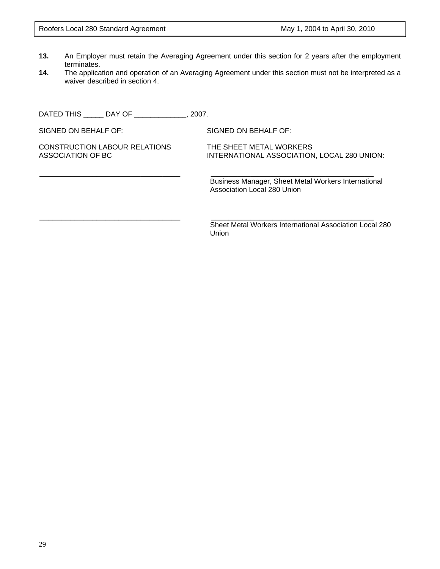- **13.** An Employer must retain the Averaging Agreement under this section for 2 years after the employment terminates.
- **14.** The application and operation of an Averaging Agreement under this section must not be interpreted as a waiver described in section 4.

\_\_\_\_\_\_\_\_\_\_\_\_\_\_\_\_\_\_\_\_\_\_\_\_\_\_\_\_\_\_\_\_ \_\_\_\_\_\_\_\_\_\_\_\_\_\_\_\_\_\_\_\_\_\_\_\_\_\_\_\_\_\_\_\_\_\_\_\_\_

DATED THIS \_\_\_\_\_ DAY OF \_\_\_\_\_\_\_\_\_\_\_\_\_, 2007.

SIGNED ON BEHALF OF: SIGNED ON BEHALF OF:

CONSTRUCTION LABOUR RELATIONS THE SHEET METAL WORKERS

ASSOCIATION OF BC INTERNATIONAL ASSOCIATION, LOCAL 280 UNION:

Business Manager, Sheet Metal Workers International Association Local 280 Union

\_\_\_\_\_\_\_\_\_\_\_\_\_\_\_\_\_\_\_\_\_\_\_\_\_\_\_\_\_\_\_\_ \_\_\_\_\_\_\_\_\_\_\_\_\_\_\_\_\_\_\_\_\_\_\_\_\_\_\_\_\_\_\_\_\_\_\_\_\_ Sheet Metal Workers International Association Local 280 Union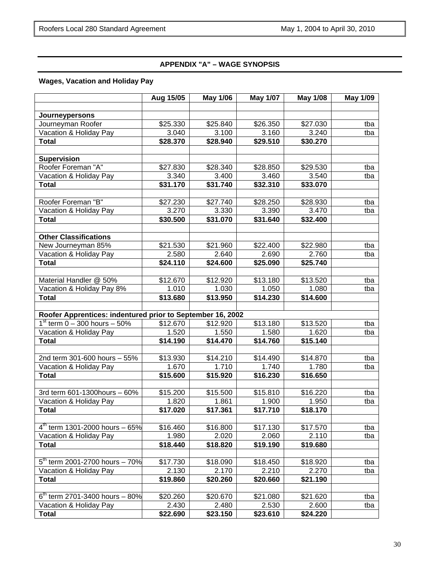# **APPENDIX "A" – WAGE SYNOPSIS**

# **Wages, Vacation and Holiday Pay**

|                                                            | Aug 15/05         | <b>May 1/06</b>   | <b>May 1/07</b>                | <b>May 1/08</b>   | <b>May 1/09</b> |
|------------------------------------------------------------|-------------------|-------------------|--------------------------------|-------------------|-----------------|
|                                                            |                   |                   |                                |                   |                 |
| Journeypersons                                             |                   |                   |                                |                   |                 |
| Journeyman Roofer                                          | \$25.330          | \$25.840          | \$26.350                       | \$27.030          | tba             |
| Vacation & Holiday Pay                                     | 3.040             | 3.100             | 3.160                          | 3.240             | tba             |
| <b>Total</b>                                               | \$28.370          | \$28.940          | \$29.510                       | \$30.270          |                 |
| <b>Supervision</b>                                         |                   |                   |                                |                   |                 |
| Roofer Foreman "A"                                         | \$27.830          | \$28.340          | \$28.850                       | \$29.530          | tba             |
| Vacation & Holiday Pay                                     | 3.340             | 3.400             | 3.460                          | 3.540             | tba             |
| <b>Total</b>                                               | \$31.170          | \$31.740          | \$32.310                       | \$33.070          |                 |
|                                                            |                   |                   |                                |                   |                 |
| Roofer Foreman "B"                                         | \$27.230          | \$27.740          | \$28.250                       | \$28.930          | tba             |
| Vacation & Holiday Pay                                     | 3.270             | 3.330             | 3.390                          | 3.470             | tba             |
| <b>Total</b>                                               | \$30.500          | \$31.070          | \$31.640                       | \$32.400          |                 |
|                                                            |                   |                   |                                |                   |                 |
| <b>Other Classifications</b>                               |                   |                   |                                |                   |                 |
| New Journeyman 85%                                         | \$21.530          | \$21.960          | \$22.400                       | \$22.980          | tba             |
| Vacation & Holiday Pay                                     | 2.580             | 2.640             | 2.690                          | 2.760             | tba             |
| <b>Total</b>                                               | \$24.110          | \$24.600          | \$25.090                       | \$25.740          |                 |
|                                                            |                   |                   |                                |                   |                 |
| Material Handler @ 50%                                     | \$12.670          | \$12.920          | \$13.180                       | \$13.520          | tba             |
| Vacation & Holiday Pay 8%                                  | 1.010             | 1.030             | 1.050                          | 1.080             | tba             |
| <b>Total</b>                                               | \$13.680          | \$13.950          | \$14.230                       | \$14.600          |                 |
|                                                            |                   |                   |                                |                   |                 |
| Roofer Apprentices: indentured prior to September 16, 2002 |                   |                   |                                |                   |                 |
| $1^{st}$ term 0 – 300 hours – 50%                          | \$12.670          | \$12.920          | \$13.180                       | \$13.520          | tba             |
| Vacation & Holiday Pay                                     | 1.520             | 1.550             | 1.580                          | 1.620             | tba             |
| <b>Total</b>                                               | \$14.190          | \$14.470          | \$14.760                       | \$15.140          |                 |
|                                                            |                   |                   |                                |                   |                 |
| 2nd term 301-600 hours - 55%                               | \$13.930<br>1.670 | \$14.210          | \$14.490<br>$\overline{1.740}$ | \$14.870          | tba             |
| Vacation & Holiday Pay<br><b>Total</b>                     | \$15.600          | 1.710<br>\$15.920 | \$16.230                       | 1.780<br>\$16.650 | tba             |
|                                                            |                   |                   |                                |                   |                 |
| 3rd term 601-1300 hours - 60%                              | \$15.200          | \$15.500          | \$15.810                       | \$16.220          | tba             |
| Vacation & Holiday Pay                                     | 1.820             | 1.861             | 1.900                          | 1.950             | tba             |
| <b>Total</b>                                               | \$17.020          | \$17.361          | \$17.710                       | \$18.170          |                 |
|                                                            |                   |                   |                                |                   |                 |
| $4^{th}$ term 1301-2000 hours - 65%                        | \$16.460          | \$16.800          | \$17.130                       | \$17.570          | tba             |
| Vacation & Holiday Pay                                     | 1.980             | 2.020             | 2.060                          | 2.110             | tba             |
| <b>Total</b>                                               | \$18.440          | \$18.820          | \$19.190                       | \$19.680          |                 |
|                                                            |                   |                   |                                |                   |                 |
| 5th term 2001-2700 hours - 70%                             | \$17.730          | \$18.090          | \$18.450                       | \$18.920          | tba             |
| Vacation & Holiday Pay                                     | 2.130             | 2.170             | 2.210                          | 2.270             | tba             |
| <b>Total</b>                                               | \$19.860          | \$20.260          | \$20.660                       | \$21.190          |                 |
|                                                            |                   |                   |                                |                   |                 |
| $6^{th}$ term 2701-3400 hours - 80%                        | \$20.260          | \$20.670          | \$21.080                       | \$21.620          | tba             |
| Vacation & Holiday Pay                                     | 2.430             | 2.480             | 2.530                          | 2.600             | tba             |
| <b>Total</b>                                               | \$22.690          | \$23.150          | \$23.610                       | \$24.220          |                 |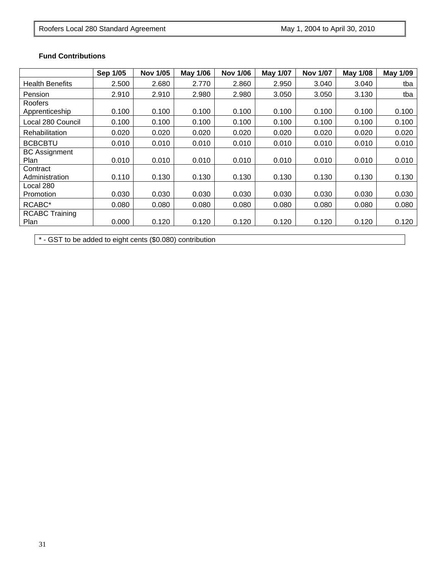# **Fund Contributions**

|                              | Sep 1/05 | <b>Nov 1/05</b> | May 1/06 | <b>Nov 1/06</b> | <b>May 1/07</b> | <b>Nov 1/07</b> | <b>May 1/08</b> | <b>May 1/09</b> |
|------------------------------|----------|-----------------|----------|-----------------|-----------------|-----------------|-----------------|-----------------|
| <b>Health Benefits</b>       | 2.500    | 2.680           | 2.770    | 2.860           | 2.950           | 3.040           | 3.040           | tba             |
| Pension                      | 2.910    | 2.910           | 2.980    | 2.980           | 3.050           | 3.050           | 3.130           | tba             |
| Roofers                      |          |                 |          |                 |                 |                 |                 |                 |
| Apprenticeship               | 0.100    | 0.100           | 0.100    | 0.100           | 0.100           | 0.100           | 0.100           | 0.100           |
| Local 280 Council            | 0.100    | 0.100           | 0.100    | 0.100           | 0.100           | 0.100           | 0.100           | 0.100           |
| Rehabilitation               | 0.020    | 0.020           | 0.020    | 0.020           | 0.020           | 0.020           | 0.020           | 0.020           |
| <b>BCBCBTU</b>               | 0.010    | 0.010           | 0.010    | 0.010           | 0.010           | 0.010           | 0.010           | 0.010           |
| <b>BC Assignment</b><br>Plan | 0.010    | 0.010           | 0.010    | 0.010           | 0.010           | 0.010           | 0.010           | 0.010           |
| Contract                     |          |                 |          |                 |                 |                 |                 |                 |
| Administration               | 0.110    | 0.130           | 0.130    | 0.130           | 0.130           | 0.130           | 0.130           | 0.130           |
| Local 280                    |          |                 |          |                 |                 |                 |                 |                 |
| Promotion                    | 0.030    | 0.030           | 0.030    | 0.030           | 0.030           | 0.030           | 0.030           | 0.030           |
| RCABC*                       | 0.080    | 0.080           | 0.080    | 0.080           | 0.080           | 0.080           | 0.080           | 0.080           |
| <b>RCABC Training</b>        |          |                 |          |                 |                 |                 |                 |                 |
| Plan                         | 0.000    | 0.120           | 0.120    | 0.120           | 0.120           | 0.120           | 0.120           | 0.120           |

\* - GST to be added to eight cents (\$0.080) contribution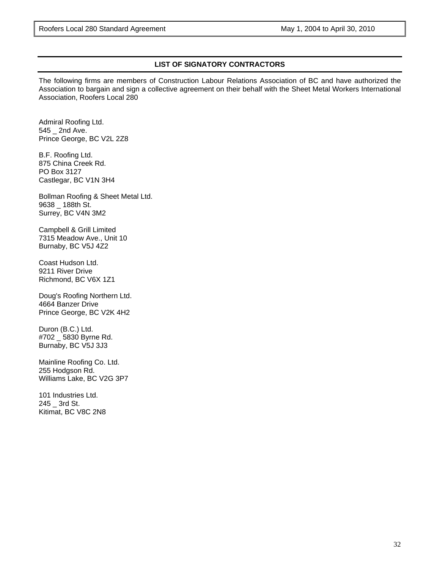# **LIST OF SIGNATORY CONTRACTORS**

The following firms are members of Construction Labour Relations Association of BC and have authorized the Association to bargain and sign a collective agreement on their behalf with the Sheet Metal Workers International Association, Roofers Local 280

Admiral Roofing Ltd. 545 \_ 2nd Ave. Prince George, BC V2L 2Z8

B.F. Roofing Ltd. 875 China Creek Rd. PO Box 3127 Castlegar, BC V1N 3H4

Bollman Roofing & Sheet Metal Ltd. 9638 \_ 188th St. Surrey, BC V4N 3M2

Campbell & Grill Limited 7315 Meadow Ave., Unit 10 Burnaby, BC V5J 4Z2

Coast Hudson Ltd. 9211 River Drive Richmond, BC V6X 1Z1

Doug's Roofing Northern Ltd. 4664 Banzer Drive Prince George, BC V2K 4H2

Duron (B.C.) Ltd. #702 \_ 5830 Byrne Rd. Burnaby, BC V5J 3J3

Mainline Roofing Co. Ltd. 255 Hodgson Rd. Williams Lake, BC V2G 3P7

101 Industries Ltd. 245 \_ 3rd St. Kitimat, BC V8C 2N8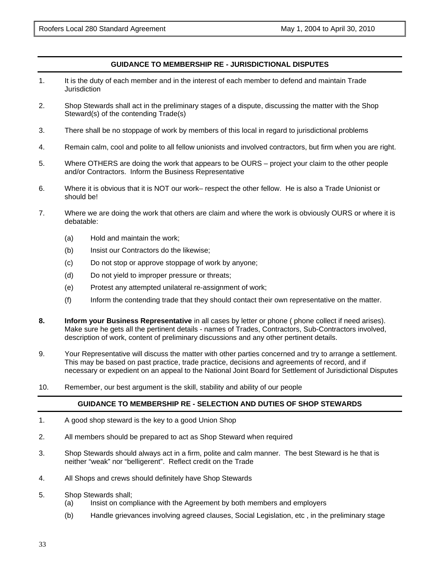## **GUIDANCE TO MEMBERSHIP RE - JURISDICTIONAL DISPUTES**

- 1. It is the duty of each member and in the interest of each member to defend and maintain Trade **Jurisdiction**
- 2. Shop Stewards shall act in the preliminary stages of a dispute, discussing the matter with the Shop Steward(s) of the contending Trade(s)
- 3. There shall be no stoppage of work by members of this local in regard to jurisdictional problems
- 4. Remain calm, cool and polite to all fellow unionists and involved contractors, but firm when you are right.
- 5. Where OTHERS are doing the work that appears to be OURS project your claim to the other people and/or Contractors. Inform the Business Representative
- 6. Where it is obvious that it is NOT our work– respect the other fellow. He is also a Trade Unionist or should be!
- 7. Where we are doing the work that others are claim and where the work is obviously OURS or where it is debatable:
	- (a) Hold and maintain the work;
	- (b) Insist our Contractors do the likewise;
	- (c) Do not stop or approve stoppage of work by anyone;
	- (d) Do not yield to improper pressure or threats;
	- (e) Protest any attempted unilateral re-assignment of work;
	- (f) Inform the contending trade that they should contact their own representative on the matter.
- **8. Inform your Business Representative** in all cases by letter or phone ( phone collect if need arises). Make sure he gets all the pertinent details - names of Trades, Contractors, Sub-Contractors involved, description of work, content of preliminary discussions and any other pertinent details.
- 9. Your Representative will discuss the matter with other parties concerned and try to arrange a settlement. This may be based on past practice, trade practice, decisions and agreements of record, and if necessary or expedient on an appeal to the National Joint Board for Settlement of Jurisdictional Disputes
- 10. Remember, our best argument is the skill, stability and ability of our people

# **GUIDANCE TO MEMBERSHIP RE - SELECTION AND DUTIES OF SHOP STEWARDS**

- 1. A good shop steward is the key to a good Union Shop
- 2. All members should be prepared to act as Shop Steward when required
- 3. Shop Stewards should always act in a firm, polite and calm manner. The best Steward is he that is neither "weak" nor "belligerent". Reflect credit on the Trade
- 4. All Shops and crews should definitely have Shop Stewards
- 5. Shop Stewards shall;
	- (a) Insist on compliance with the Agreement by both members and employers
	- (b) Handle grievances involving agreed clauses, Social Legislation, etc , in the preliminary stage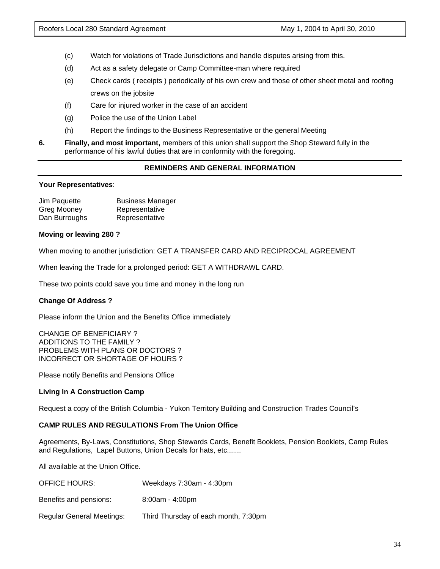- (c) Watch for violations of Trade Jurisdictions and handle disputes arising from this.
- (d) Act as a safety delegate or Camp Committee-man where required
- (e) Check cards ( receipts ) periodically of his own crew and those of other sheet metal and roofing crews on the jobsite
- (f) Care for injured worker in the case of an accident
- (g) Police the use of the Union Label
- (h) Report the findings to the Business Representative or the general Meeting
- **6. Finally, and most important,** members of this union shall support the Shop Steward fully in the performance of his lawful duties that are in conformity with the foregoing.

# **REMINDERS AND GENERAL INFORMATION**

#### **Your Representatives**:

| Jim Paquette  | <b>Business Manager</b> |
|---------------|-------------------------|
| Greg Mooney   | Representative          |
| Dan Burroughs | Representative          |

#### **Moving or leaving 280 ?**

When moving to another jurisdiction: GET A TRANSFER CARD AND RECIPROCAL AGREEMENT

When leaving the Trade for a prolonged period: GET A WITHDRAWL CARD.

These two points could save you time and money in the long run

# **Change Of Address ?**

Please inform the Union and the Benefits Office immediately

CHANGE OF BENEFICIARY ? ADDITIONS TO THE FAMILY ? PROBLEMS WITH PLANS OR DOCTORS ? INCORRECT OR SHORTAGE OF HOURS ?

Please notify Benefits and Pensions Office

#### **Living In A Construction Camp**

Request a copy of the British Columbia - Yukon Territory Building and Construction Trades Council's

#### **CAMP RULES AND REGULATIONS From The Union Office**

Agreements, By-Laws, Constitutions, Shop Stewards Cards, Benefit Booklets, Pension Booklets, Camp Rules and Regulations, Lapel Buttons, Union Decals for hats, etc.......

All available at the Union Office.

- OFFICE HOURS: Weekdays 7:30am 4:30pm
- Benefits and pensions: 8:00am 4:00pm
- Regular General Meetings: Third Thursday of each month, 7:30pm